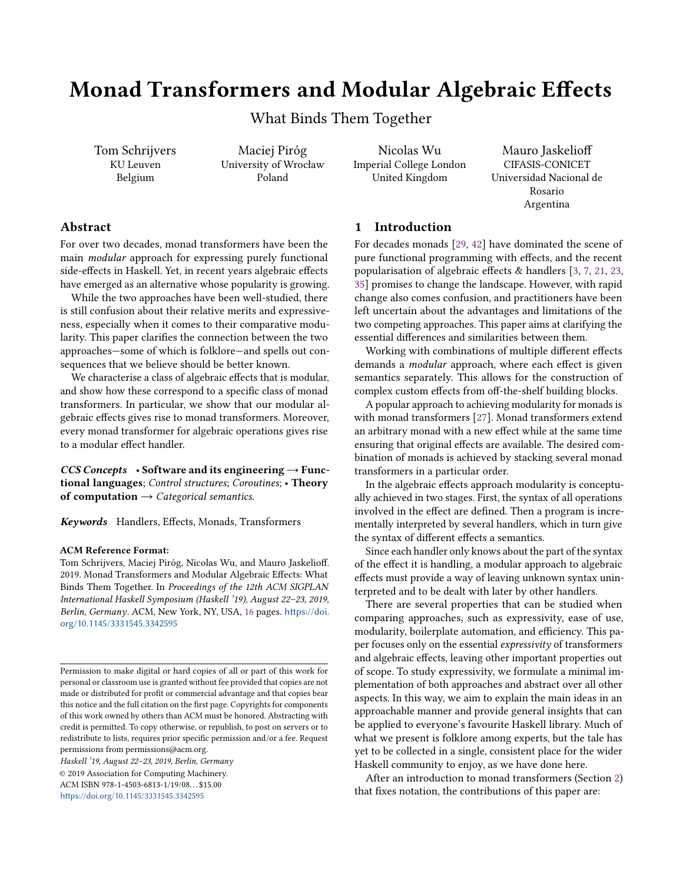# Monad Transformers and Modular Algebraic Effects

What Binds Them Together

Tom Schrijvers KU Leuven Belgium

Maciej Piróg University of Wrocław Poland

Nicolas Wu Imperial College London United Kingdom

Mauro Jaskelioff CIFASIS-CONICET Universidad Nacional de Rosario Argentina

# Abstract

For over two decades, monad transformers have been the main modular approach for expressing purely functional side-effects in Haskell. Yet, in recent years algebraic effects have emerged as an alternative whose popularity is growing.

While the two approaches have been well-studied, there is still confusion about their relative merits and expressiveness, especially when it comes to their comparative modularity. This paper clarifies the connection between the two approaches—some of which is folklore—and spells out consequences that we believe should be better known.

We characterise a class of algebraic effects that is modular, and show how these correspond to a specific class of monad transformers. In particular, we show that our modular algebraic effects gives rise to monad transformers. Moreover, every monad transformer for algebraic operations gives rise to a modular effect handler.

 $CCS$  Concepts • Software and its engineering  $\rightarrow$  Functional languages; Control structures; Coroutines; • Theory of computation  $\rightarrow$  Categorical semantics.

Keywords Handlers, Effects, Monads, Transformers

#### ACM Reference Format:

Tom Schrijvers, Maciej Piróg, Nicolas Wu, and Mauro Jaskelioff. 2019. Monad Transformers and Modular Algebraic Effects: What Binds Them Together. In Proceedings of the 12th ACM SIGPLAN International Haskell Symposium (Haskell '19), August 22–23, 2019, Berlin, Germany. ACM, New York, NY, USA, [16](#page-15-0) pages. [https://doi.](https://doi.org/10.1145/3331545.3342595) [org/10.1145/3331545.3342595](https://doi.org/10.1145/3331545.3342595)

Haskell '19, August 22–23, 2019, Berlin, Germany

© 2019 Association for Computing Machinery. ACM ISBN 978-1-4503-6813-1/19/08. . . \$15.00 <https://doi.org/10.1145/3331545.3342595>

# 1 Introduction

For decades monads [\[29,](#page-14-0) [42\]](#page-15-1) have dominated the scene of pure functional programming with effects, and the recent popularisation of algebraic effects & handlers [\[3,](#page-14-1) [7,](#page-14-2) [21,](#page-14-3) [23,](#page-14-4) [35\]](#page-15-2) promises to change the landscape. However, with rapid change also comes confusion, and practitioners have been left uncertain about the advantages and limitations of the two competing approaches. This paper aims at clarifying the essential differences and similarities between them.

Working with combinations of multiple different effects demands a modular approach, where each effect is given semantics separately. This allows for the construction of complex custom effects from off-the-shelf building blocks.

A popular approach to achieving modularity for monads is with monad transformers [\[27\]](#page-14-5). Monad transformers extend an arbitrary monad with a new effect while at the same time ensuring that original effects are available. The desired combination of monads is achieved by stacking several monad transformers in a particular order.

In the algebraic effects approach modularity is conceptually achieved in two stages. First, the syntax of all operations involved in the effect are defined. Then a program is incrementally interpreted by several handlers, which in turn give the syntax of different effects a semantics.

Since each handler only knows about the part of the syntax of the effect it is handling, a modular approach to algebraic effects must provide a way of leaving unknown syntax uninterpreted and to be dealt with later by other handlers.

There are several properties that can be studied when comparing approaches, such as expressivity, ease of use, modularity, boilerplate automation, and efficiency. This paper focuses only on the essential expressivity of transformers and algebraic effects, leaving other important properties out of scope. To study expressivity, we formulate a minimal implementation of both approaches and abstract over all other aspects. In this way, we aim to explain the main ideas in an approachable manner and provide general insights that can be applied to everyone's favourite Haskell library. Much of what we present is folklore among experts, but the tale has yet to be collected in a single, consistent place for the wider Haskell community to enjoy, as we have done here.

After an introduction to monad transformers (Section [2\)](#page-1-0) that fixes notation, the contributions of this paper are:

Permission to make digital or hard copies of all or part of this work for personal or classroom use is granted without fee provided that copies are not made or distributed for profit or commercial advantage and that copies bear this notice and the full citation on the first page. Copyrights for components of this work owned by others than ACM must be honored. Abstracting with credit is permitted. To copy otherwise, or republish, to post on servers or to redistribute to lists, requires prior specific permission and/or a fee. Request permissions from permissions@acm.org.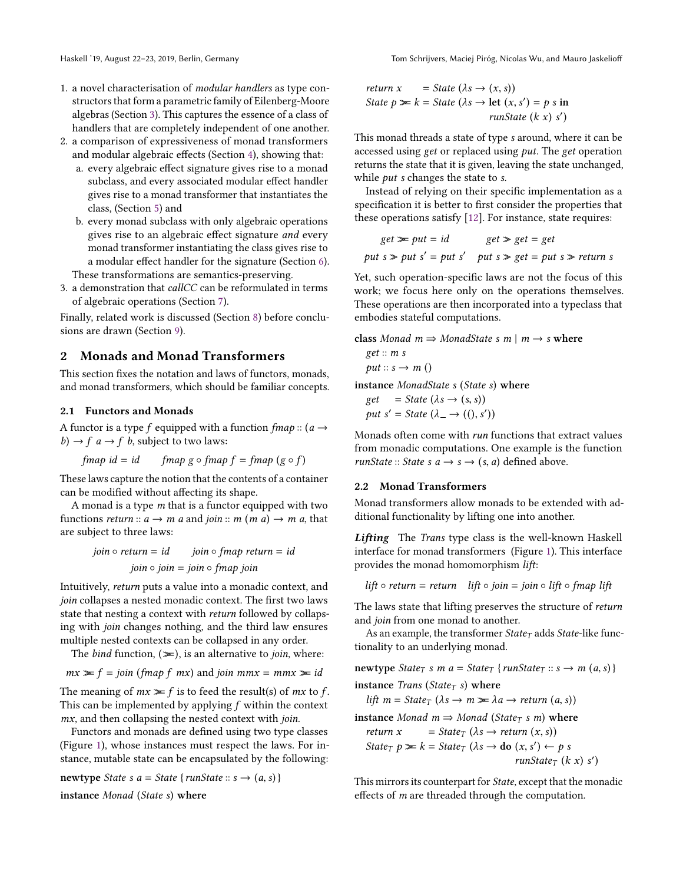- 1. a novel characterisation of modular handlers as type constructors that form a parametric family of Eilenberg-Moore algebras (Section [3\)](#page-3-0). This captures the essence of a class of handlers that are completely independent of one another.
- 2. a comparison of expressiveness of monad transformers and modular algebraic effects (Section [4\)](#page-6-0), showing that:
	- a. every algebraic effect signature gives rise to a monad subclass, and every associated modular effect handler gives rise to a monad transformer that instantiates the class, (Section [5\)](#page-8-0) and
	- b. every monad subclass with only algebraic operations gives rise to an algebraic effect signature and every monad transformer instantiating the class gives rise to a modular effect handler for the signature (Section [6\)](#page-10-0). These transformations are semantics-preserving.
- 3. a demonstration that callCC can be reformulated in terms of algebraic operations (Section [7\)](#page-11-0).

Finally, related work is discussed (Section [8\)](#page-12-0) before conclusions are drawn (Section [9\)](#page-13-0).

# <span id="page-1-0"></span>2 Monads and Monad Transformers

This section fixes the notation and laws of functors, monads, and monad transformers, which should be familiar concepts.

# 2.1 Functors and Monads

A functor is a type f equipped with a function  $fmap::(a \rightarrow a)$ b)  $\rightarrow$  f a  $\rightarrow$  f b, subject to two laws:

$$
fmap id = id \qquad fmap g \circ fmap f = fmap (g \circ f)
$$

These laws capture the notion that the contents of a container can be modified without affecting its shape.

A monad is a type  $m$  that is a functor equipped with two functions return ::  $a \rightarrow m$  a and join ::  $m (m a) \rightarrow m a$ , that are subject to three laws:

$$
join \circ return = id
$$
  

$$
join \circ join \circ final \circ final
$$
  

$$
join \circ join = join \circ final \circ join
$$

Intuitively, return puts a value into a monadic context, and join collapses a nested monadic context. The first two laws state that nesting a context with return followed by collapsing with join changes nothing, and the third law ensures multiple nested contexts can be collapsed in any order.

The *bind* function,  $(\geq)$ , is an alternative to *join*, where:

$$
mx \geq f = join (fmap f mx)
$$
 and join  $mmx = mmx \geq id$ 

The meaning of  $mx \geq f$  is to feed the result(s) of  $mx$  to f. This can be implemented by applying  $f$  within the context mx, and then collapsing the nested context with join.

Functors and monads are defined using two type classes (Figure [1\)](#page-2-0), whose instances must respect the laws. For instance, mutable state can be encapsulated by the following:

newtype State s  $a = State \{ runState :: s \rightarrow (a, s) \}$ 

instance Monad (State s) where

return 
$$
x = State (\lambda s \rightarrow (x, s))
$$
  
\nState  $p \ge k = State (\lambda s \rightarrow let (x, s') = p s in  
\n*runState (k x) s'*)$ 

This monad threads a state of type s around, where it can be accessed using get or replaced using put. The get operation returns the state that it is given, leaving the state unchanged, while *put* s changes the state to s.

Instead of relying on their specific implementation as a specification it is better to first consider the properties that these operations satisfy [\[12\]](#page-14-6). For instance, state requires:

$$
get \geq put = id
$$
  
 
$$
get \geq get = get
$$
  
 
$$
put s \geq put s' = put s'
$$
  
 
$$
put s \geq get = put s \geq return s
$$

Yet, such operation-specific laws are not the focus of this work; we focus here only on the operations themselves. These operations are then incorporated into a typeclass that embodies stateful computations.

class Monad 
$$
m \Rightarrow
$$
 MonadState  $s m \mid m \rightarrow s$  where

\nget ::  $m s$ 

\nput ::  $s \rightarrow m()$ 

\ninstance MonadState  $s$  (State  $s$ ) where

\nget = State ( $\lambda s \rightarrow (s, s)$ )

\nput  $s' = State (\lambda_-\rightarrow ((), s'))$ 

Monads often come with run functions that extract values from monadic computations. One example is the function runState :: State s  $a \rightarrow s \rightarrow (s, a)$  defined above.

### <span id="page-1-1"></span>2.2 Monad Transformers

Monad transformers allow monads to be extended with additional functionality by lifting one into another.

Lifting The Trans type class is the well-known Haskell interface for monad transformers (Figure [1\)](#page-2-0). This interface provides the monad homomorphism lift:

lift  $\circ$  return = return lift  $\circ$  join = join  $\circ$  lift  $\circ$  fmap lift

The laws state that lifting preserves the structure of return and join from one monad to another.

As an example, the transformer  $State<sub>T</sub>$  adds  $State<sub>-</sub>$ like functionality to an underlying monad.

newtype State<sub>T</sub> s m a = State<sub>T</sub> {runState<sub>T</sub> :: s  $\rightarrow$  m (a, s)}

instance Trans (State<sub>T</sub> s) where

lift  $m = State_T (\lambda s \rightarrow m \gg \lambda a \rightarrow return (a, s))$ 

instance Monad  $m \Rightarrow Monad$  (State<sub>T</sub> s m) where

return 
$$
x = State_T (\lambda s \rightarrow return (x, s))
$$
  
\nState<sub>T</sub>  $p \ge k = State_T (\lambda s \rightarrow do (x, s') \leftarrow p s$   
\n*runState<sub>T</sub> (k x) s'*)

This mirrors its counterpart for State, except that the monadic effects of m are threaded through the computation.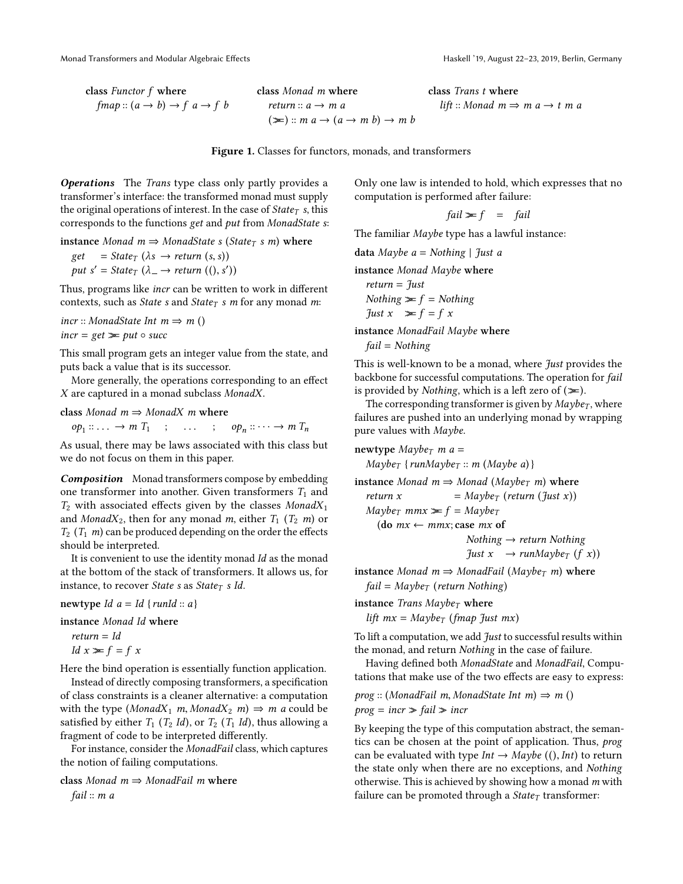lift :: Monad  $m \Rightarrow m a \rightarrow t$  m a

<span id="page-2-0"></span>class Functor f where  $fmap :: (a \rightarrow b) \rightarrow f \ a \rightarrow f \ b$  class Monad m where return  $a \rightarrow m a$  $(\ggg)$  :: m  $a \rightarrow (a \rightarrow m b) \rightarrow m b$ 

Figure 1. Classes for functors, monads, and transformers

Operations The Trans type class only partly provides a transformer's interface: the transformed monad must supply the original operations of interest. In the case of  $State<sub>T</sub>$  s, this corresponds to the functions get and put from MonadState s:

instance Monad  $m \Rightarrow$  MonadState s (State<sub>T</sub> s m) where

 $get = State_T (\lambda s \rightarrow return (s, s))$ put  $s' = State_T (\lambda_+ \rightarrow return ((), s'))$ 

Thus, programs like incr can be written to work in different contexts, such as *State* s and *State*<sub>T</sub> s m for any monad m:

incr :: MonadState Int  $m \Rightarrow m$  ()

 $incr = get \gg put \circ succ$ 

This small program gets an integer value from the state, and puts back a value that is its successor.

More generally, the operations corresponding to an effect X are captured in a monad subclass MonadX.

class Monad  $m \Rightarrow MonadX$  m where

 $op_1 :: \ldots \rightarrow m$   $T_1$  ;  $\ldots$  ;  $op_n :: \cdots \rightarrow m$   $T_n$ 

As usual, there may be laws associated with this class but we do not focus on them in this paper.

Composition Monad transformers compose by embedding one transformer into another. Given transformers  $T_1$  and  $T_2$  with associated effects given by the classes Monad $X_1$ and Monad $X_2$ , then for any monad m, either  $T_1$  ( $T_2$  m) or  $T_2$  ( $T_1$  *m*) can be produced depending on the order the effects should be interpreted.

It is convenient to use the identity monad Id as the monad at the bottom of the stack of transformers. It allows us, for instance, to recover State s as State $<sub>T</sub>$  s Id.</sub>

newtype Id  $a = Id \{runId :: a\}$ 

instance Monad Id where

 $return = Id$ Id  $x \geq f = f x$ 

Here the bind operation is essentially function application.

Instead of directly composing transformers, a specification of class constraints is a cleaner alternative: a computation with the type (MonadX<sub>1</sub> m, MonadX<sub>2</sub> m)  $\Rightarrow$  m a could be satisfied by either  $T_1$  ( $T_2$  *Id*), or  $T_2$  ( $T_1$  *Id*), thus allowing a fragment of code to be interpreted differently.

For instance, consider the MonadFail class, which captures the notion of failing computations.

class Monad  $m \Rightarrow$  MonadFail m where fail :: m a

Only one law is intended to hold, which expresses that no computation is performed after failure:

class Trans t where

$$
fail \geq f = fail
$$

The familiar Maybe type has a lawful instance:

data Maybe  $a = \text{Nothing } |$  Just a

instance Monad Maybe where

return = Just  
\nNothing 
$$
\approx f
$$
 = Nothing  
\nJust  $x \approx f = f x$ 

instance MonadFail Maybe where  $fail = Nothing$ 

This is well-known to be a monad, where *Just* provides the backbone for successful computations. The operation for fail is provided by *Nothing*, which is a left zero of  $(\geq)$ .

The corresponding transformer is given by  $Maybe_T$ , where failures are pushed into an underlying monad by wrapping pure values with Maybe.

newtype  $Maybe<sub>T</sub>$  m a =  $Maybe_T \{runMaybe_T :: m \ (Maybe a) \}$ instance Monad  $m \Rightarrow$  Monad (Maybe<sub>T</sub> m) where return x  $=$  Maybe<sub>T</sub> (return (Just x))  $Maybe_T$  mmx  $\geq f$  = Maybe<sub>T</sub> (do  $mx \leftarrow mmx$ ; case  $mx$  of  $Nothing \rightarrow return \; Nothing$  $\int \int u \, dx \rightarrow \int \int u \, d\mu$ instance Monad  $m \Rightarrow MonadFail (Maybe_T m)$  where

 $fail = Maybe_T$  (return Nothing)

instance Trans  $Maybe_T$  where

lift  $mx = Maybe_T$  (fmap Just mx)

To lift a computation, we add  $Just$  to successful results within the monad, and return Nothing in the case of failure.

Having defined both MonadState and MonadFail, Computations that make use of the two effects are easy to express:

prog :: (MonadFail m, MonadState Int m)  $\Rightarrow$  m ()  $prog = incr \geq fail \geq incr$ 

By keeping the type of this computation abstract, the semantics can be chosen at the point of application. Thus, prog can be evaluated with type  $Int \rightarrow Maybe$  ((),  $Int$ ) to return the state only when there are no exceptions, and Nothing otherwise. This is achieved by showing how a monad  $m$  with failure can be promoted through a  $State<sub>T</sub>$  transformer: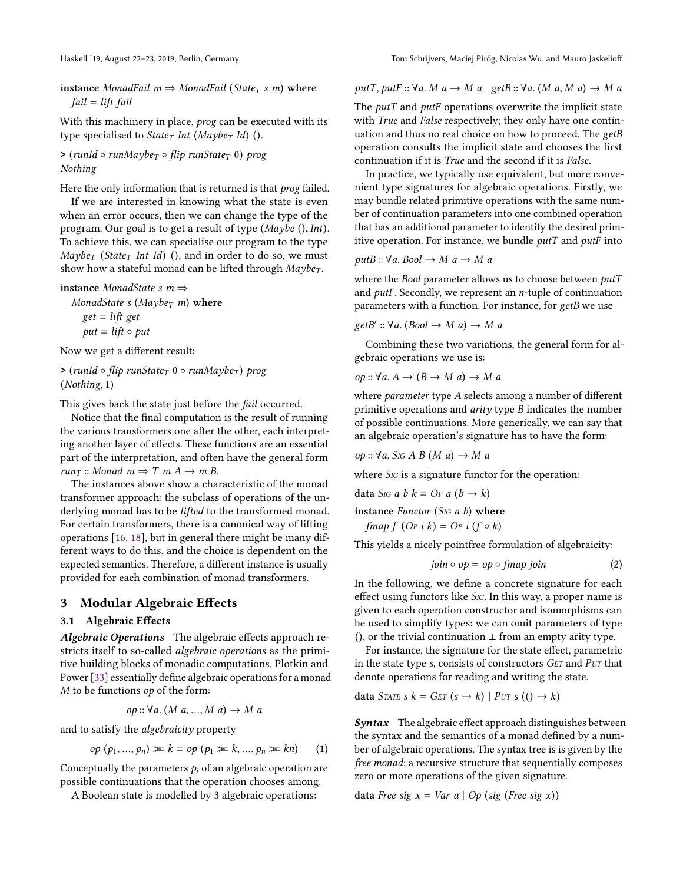instance MonadFail  $m \Rightarrow MonadFail$  (State<sub>T</sub> s m) where fail = lift fail

With this machinery in place, *prog* can be executed with its type specialised to State<sub>T</sub> Int (Maybe<sub>T</sub> Id) ().

 $>$  (runId  $\circ$  runMaybe<sub>T</sub>  $\circ$  flip runState<sub>T</sub> 0) prog Nothing

Here the only information that is returned is that *prog* failed.

If we are interested in knowing what the state is even when an error occurs, then we can change the type of the program. Our goal is to get a result of type (Maybe (), Int). To achieve this, we can specialise our program to the type  $Maybe_T$  (State<sub>T</sub> Int Id) (), and in order to do so, we must show how a stateful monad can be lifted through  $Maybe_T$ .

```
instance MonadState s m \Rightarrow
```
MonadState s (Maybe<sub>T</sub> m) where  $get = lift get$  $put = lift \circ put$ 

Now we get a different result:

 $>$  (runId  $\circ$  flip runState<sub>T</sub> 0  $\circ$  runMaybe<sub>T</sub>) prog (Nothing, <sup>1</sup>)

This gives back the state just before the *fail* occurred.

Notice that the final computation is the result of running the various transformers one after the other, each interpreting another layer of effects. These functions are an essential part of the interpretation, and often have the general form run<sub>T</sub> :: Monad  $m \Rightarrow T$  m  $A \rightarrow m$  B.

The instances above show a characteristic of the monad transformer approach: the subclass of operations of the underlying monad has to be *lifted* to the transformed monad. For certain transformers, there is a canonical way of lifting operations [\[16,](#page-14-7) [18\]](#page-14-8), but in general there might be many different ways to do this, and the choice is dependent on the expected semantics. Therefore, a different instance is usually provided for each combination of monad transformers.

### <span id="page-3-0"></span>3 Modular Algebraic Effects

### <span id="page-3-2"></span>3.1 Algebraic Effects

Algebraic Operations The algebraic effects approach restricts itself to so-called algebraic operations as the primitive building blocks of monadic computations. Plotkin and Power [\[33\]](#page-14-9) essentially define algebraic operations for a monad  $M$  to be functions  $op$  of the form:

op ::  $\forall a$ . (M a, ..., M a)  $\rightarrow M$  a

and to satisfy the algebraicity property

$$
op (p_1, ..., p_n) \ge k = op (p_1 \ge k, ..., p_n \ge kn)
$$
 (1)

Conceptually the parameters  $p_i$  of an algebraic operation are possible continuations that the operation chooses among.

A Boolean state is modelled by 3 algebraic operations:

putT, putF :: 
$$
\forall a. M \ a \rightarrow M \ a
$$
 getB ::  $\forall a. (M \ a, M \ a) \rightarrow M \ a$ 

The  $putT$  and  $putF$  operations overwrite the implicit state with *True* and *False* respectively; they only have one continuation and thus no real choice on how to proceed. The getB operation consults the implicit state and chooses the first continuation if it is True and the second if it is False.

In practice, we typically use equivalent, but more convenient type signatures for algebraic operations. Firstly, we may bundle related primitive operations with the same number of continuation parameters into one combined operation that has an additional parameter to identify the desired primitive operation. For instance, we bundle  $putT$  and  $putF$  into

$$
putB :: \forall a. \, Bool \rightarrow M \, a \rightarrow M \, a
$$

where the Bool parameter allows us to choose between  $putT$ and putF. Secondly, we represent an n-tuple of continuation parameters with a function. For instance, for getB we use

$$
getB' :: \forall a. (Bool \rightarrow M \ a) \rightarrow M \ a
$$

Combining these two variations, the general form for algebraic operations we use is:

$$
op: \forall a. A \rightarrow (B \rightarrow M a) \rightarrow M a
$$

where *parameter* type A selects among a number of different primitive operations and  $arity$  type  $B$  indicates the number of possible continuations. More generically, we can say that an algebraic operation's signature has to have the form:

op :: <sup>∀</sup>a. <sup>S</sup>IG A B (M a) <sup>→</sup> M a

where S<sub>IG</sub> is a signature functor for the operation:

$$
data S_{IG} a b k = Op a (b \rightarrow k)
$$

instance Functor (S<sub>IG</sub>  $a$   $b$ ) where

fmap  $f$  (Op i  $k$ ) = Op i ( $f \circ k$ )

This yields a nicely pointfree formulation of algebraicity:

<span id="page-3-1"></span>
$$
join \circ op = op \circ fmap join \tag{2}
$$

In the following, we define a concrete signature for each effect using functors like S<sub>IG</sub>. In this way, a proper name is given to each operation constructor and isomorphisms can be used to simplify types: we can omit parameters of type (), or the trivial continuation  $\perp$  from an empty arity type.

For instance, the signature for the state effect, parametric in the state type s, consists of constructors GET and PUT that denote operations for reading and writing the state.

$$
data\;STATE\;s\;k = GET\;(s \rightarrow k) | PUT\;s\;(() \rightarrow k)
$$

Syntax The algebraic effect approach distinguishes between the syntax and the semantics of a monad defined by a number of algebraic operations. The syntax tree is is given by the free monad: a recursive structure that sequentially composes zero or more operations of the given signature.

data Free sig  $x = Var a | Op (sig (Free sig x))$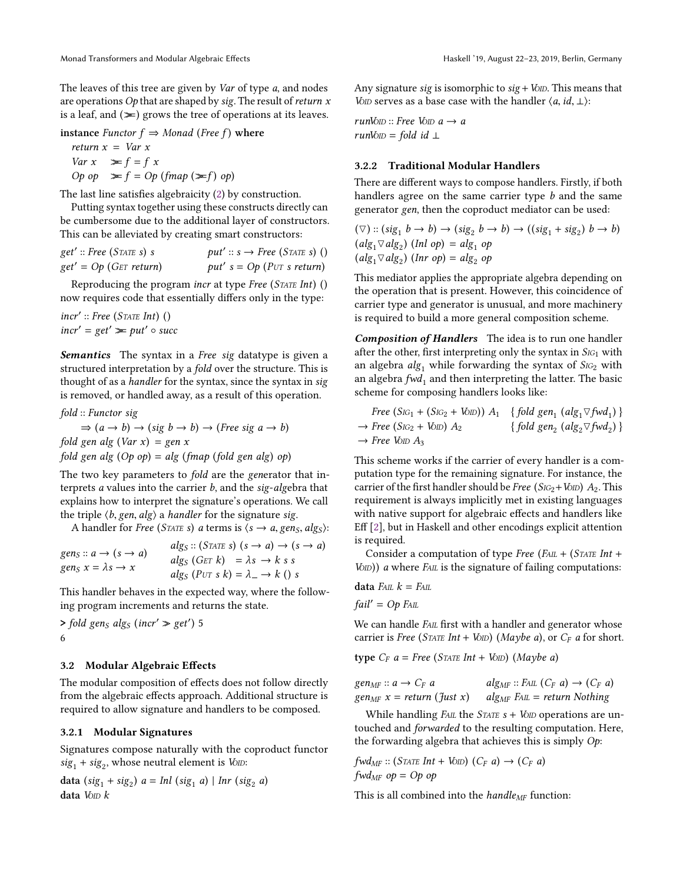The leaves of this tree are given by Var of type a, and nodes are operations  $Op$  that are shaped by sig. The result of return  $x$ is a leaf, and  $(\geq)$  grows the tree of operations at its leaves.

instance Functor  $f \Rightarrow Monad$  (Free f) where

return  $x = Var x$ Var  $x \geq f = f x$ Op op  $\gg$  f = Op (fmap ( $\gg$ f) op)

The last line satisfies algebraicity [\(2\)](#page-3-1) by construction.

Putting syntax together using these constructs directly can be cumbersome due to the additional layer of constructors. This can be alleviated by creating smart constructors:

get' :: Free (STATE s) s  $get' = Op(GET return)$  $put' :: s \rightarrow Free (STATE s) ()$ put′ s = Op (PUT s return)

Reproducing the program incr at type Free (STATE Int) () now requires code that essentially differs only in the type:

incr′ :: Free (STATE Int) ()  $incr' = get' \geq put' \circ succ$ 

Semantics The syntax in a Free sig datatype is given a structured interpretation by a fold over the structure. This is thought of as a handler for the syntax, since the syntax in sig is removed, or handled away, as a result of this operation.

fold :: Functor sig  $\Rightarrow$   $(a \rightarrow b) \rightarrow (sig \ b \rightarrow b) \rightarrow (Free \ sig \ a \rightarrow b)$ fold gen alg  $(Var x) = gen x$ fold gen alg  $(Op \text{ op}) = alg$  (fmap (fold gen alg) op)

The two key parameters to *fold* are the generator that interprets  $a$  values into the carrier  $b$ , and the sig-algebra that explains how to interpret the signature's operations. We call the triple  $\langle b, gen, alg \rangle$  a *handler* for the signature sig.

A handler for Free (STATE s) a terms is  $\langle s \rightarrow a, \text{gen}_S, \text{alg}_S \rangle$ :

 $gen_S :: a \rightarrow (s \rightarrow a)$ gens  $x = \lambda s \rightarrow x$  $alg_S :: (STATE S) (s \rightarrow a) \rightarrow (s \rightarrow a)$ algs (GET k) =  $\lambda s \rightarrow k s s$  $alg_S (PUT s k) = \lambda_- \rightarrow k$  () s

This handler behaves in the expected way, where the following program increments and returns the state.

 $\geq$  fold gen<sub>S</sub> alg<sub>S</sub> (incr'  $\geq$  get') 5 6

# 3.2 Modular Algebraic Effects

The modular composition of effects does not follow directly from the algebraic effects approach. Additional structure is required to allow signature and handlers to be composed.

#### 3.2.1 Modular Signatures

Signatures compose naturally with the coproduct functor  $sig_1 + sig_2$ , whose neutral element is Vom:

data  $(sig_1 + sig_2)$   $a = Inl (sig_1 a) | Inr (sig_2 a)$ data  $V$ <sub>DD</sub> $k$ 

Any signature sig is isomorphic to  $sig + VOD$ . This means that Vo<sub>ID</sub> serves as a base case with the handler  $\langle a, id, \perp \rangle$ :

runVoID :: Free VoID  $a \rightarrow a$ runVo $D =$  fold id  $\perp$ 

### 3.2.2 Traditional Modular Handlers

There are different ways to compose handlers. Firstly, if both handlers agree on the same carrier type b and the same generator gen, then the coproduct mediator can be used:

 $(\nabla)$ ::  $(sig_1 b \rightarrow b) \rightarrow (sig_2 b \rightarrow b) \rightarrow ((sig_1 + sig_2) b \rightarrow b)$  $(alg_1 \triangledown alg_2)$  (Inl op) =  $alg_1$  op  $(alg_1 \triangledown alg_2)$  (Inr op) =  $alg_2$  op

This mediator applies the appropriate algebra depending on the operation that is present. However, this coincidence of carrier type and generator is unusual, and more machinery is required to build a more general composition scheme.

Composition of Handlers The idea is to run one handler after the other, first interpreting only the syntax in  $S_{1G_1}$  with an algebra  $alg_1$  while forwarding the syntax of  $Sig_2$  with an algebra  $fwd_1$  and then interpreting the latter. The basic scheme for composing handlers looks like:

Free 
$$
(Sic_1 + (Sic_2 + Vow)) A_1
$$
 {fold gen<sub>1</sub>  $(alg_1 \triangledown fwd_1)$ }  
\n $\rightarrow$  Free  $(Sic_2 + Vow) A_2$  {fold gen<sub>2</sub>  $(alg_2 \triangledown fwd_2)$ }  
\n $\rightarrow$  Free  $Vow A_3$ 

This scheme works if the carrier of every handler is a computation type for the remaining signature. For instance, the carrier of the first handler should be Free ( $S_{IG2}$ +Vo<sub>ID</sub>)  $A_2$ . This requirement is always implicitly met in existing languages with native support for algebraic effects and handlers like Eff [\[2\]](#page-14-10), but in Haskell and other encodings explicit attention is required.

Consider a computation of type Free (FAIL + (STATE Int +  $V(D)$ ) a where  $F_{ALL}$  is the signature of failing computations:

$$
data \text{ FAL } k = \text{ FAL}
$$

 $fail' = Op$  FAIL

We can handle FAIL first with a handler and generator whose carrier is Free (STATE Int + VoID) (Maybe a), or  $C_F$  a for short.

type  $C_F$  a = Free (STATE Int + VoID) (Maybe a)

 $gen_{MF}: a \rightarrow C_F a$  $gen_{MF} x = return (Just x)$  $alg_{MF} :: FAL (C_F a) \rightarrow (C_F a)$  $alg_{MF}$  FAIL = return Nothing

While handling  $F_{ALL}$  the  $STATE \, s + V_{OLD}$  operations are untouched and forwarded to the resulting computation. Here, the forwarding algebra that achieves this is simply  $Op$ :

 $fwd_{MF} :: (STATE Int + VOD) (C_F a) \rightarrow (C_F a)$  $fwd_{MF}$  op = Op op

This is all combined into the *handle<sub>MF</sub>* function: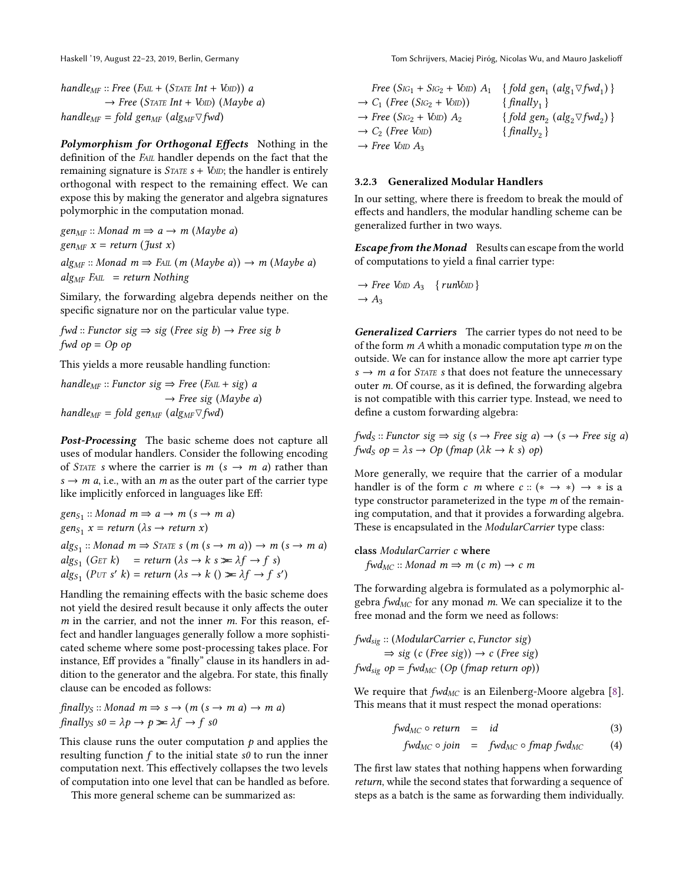handle<sub>MF</sub> :: Free (FAIL + (STATE Int + VoID)) a  $\rightarrow$  Free (STATE Int + VoID) (Maybe a) handle<sub>MF</sub> = fold gen<sub>MF</sub> (alg<sub>MF</sub> $\triangledown$ fwd)

Polymorphism for Orthogonal Effects Nothing in the definition of the FAIL handler depends on the fact that the remaining signature is  $S\text{TATE } s + V\text{OD}$ ; the handler is entirely orthogonal with respect to the remaining effect. We can expose this by making the generator and algebra signatures polymorphic in the computation monad.

 $gen_{MF}$ :: Monad  $m \Rightarrow a \rightarrow m$  (Maybe a) gen<sub>MF</sub>  $x = return (Just x)$  $alg_{MF}$  :: Monad  $m \Rightarrow$  FAIL  $(m \ (Maybe \ a)) \rightarrow m \ (Maybe \ a)$  $alg_{MF}$  FAIL = return Nothing

Similary, the forwarding algebra depends neither on the specific signature nor on the particular value type.

 $fwd$  :: Functor sig  $\Rightarrow$  sig (Free sig b)  $\rightarrow$  Free sig b fwd  $op = Op op$ 

This yields a more reusable handling function:

handle<sub>MF</sub> :: Functor sig  $\Rightarrow$  Free (FAIL + sig) a  $\rightarrow$  Free sig (Maybe a) handle<sub>MF</sub> = fold gen<sub>MF</sub> (alg<sub>MF</sub> $\triangledown$ fwd)

Post-Processing The basic scheme does not capture all uses of modular handlers. Consider the following encoding of *STATE* s where the carrier is  $m$  ( $s \rightarrow m$  *a*) rather than  $s \rightarrow m \, a$ , i.e., with an m as the outer part of the carrier type like implicitly enforced in languages like Eff:

$$
gen_{S_1} :: Monad m \Rightarrow a \rightarrow m (s \rightarrow m a)
$$
  
\n
$$
gen_{S_1} x = return (\lambda s \rightarrow return x)
$$
  
\n
$$
alg_{S_1} :: Monad m \Rightarrow STATE s (m (s \rightarrow m a)) \rightarrow m (s \rightarrow m a)
$$
  
\n
$$
alg_{S_1} (GET k) = return (\lambda s \rightarrow k s \ge \lambda f \rightarrow f s)
$$
  
\n
$$
alg_{S_1} (PUT s' k) = return (\lambda s \rightarrow k () \ge \lambda f \rightarrow f s')
$$

Handling the remaining effects with the basic scheme does not yield the desired result because it only affects the outer  $m$  in the carrier, and not the inner  $m$ . For this reason, effect and handler languages generally follow a more sophisticated scheme where some post-processing takes place. For instance, Eff provides a "finally" clause in its handlers in addition to the generator and the algebra. For state, this finally clause can be encoded as follows:

$$
\text{finally}_S: \text{ Monad } m \Rightarrow s \to (m (s \to m a) \to m a)
$$
\n
$$
\text{finally}_S \text{ } s0 = \lambda p \to p \blacktriangleright \lambda f \to f s0
$$

This clause runs the outer computation  $p$  and applies the resulting function  $f$  to the initial state  $s\theta$  to run the inner computation next. This effectively collapses the two levels of computation into one level that can be handled as before.

This more general scheme can be summarized as:

Free  $(S_{IG_1} + S_{IG_2} + V_{OD}) A_1 \{fold gen_1 (alg_1 \triangledown fwd_1) \}$  $\rightarrow C_1$  (Free (S<sub>IG2</sub> + V<sub>OID</sub>)) {  $finally_1$  }  $\rightarrow$  Free (S<sub>IG2</sub> + VoID)  $A_2$  $(alg_2 \triangledown fwd_2)$ }  $\rightarrow$  C<sub>2</sub> (Free VoID) {  $finally_2$  }  $\rightarrow$  Free Volo A<sub>3</sub>

### <span id="page-5-0"></span>3.2.3 Generalized Modular Handlers

In our setting, where there is freedom to break the mould of effects and handlers, the modular handling scheme can be generalized further in two ways.

**Escape from the Monad** Results can escape from the world of computations to yield a final carrier type:

$$
\rightarrow Free\ VOD\ A_3 \ \{runVOD\}
$$
  

$$
\rightarrow A_3
$$

Generalized Carriers The carrier types do not need to be of the form  $m \Lambda$  whith a monadic computation type  $m$  on the outside. We can for instance allow the more apt carrier type  $s \rightarrow m$  a for *STATE* s that does not feature the unnecessary outer m. Of course, as it is defined, the forwarding algebra is not compatible with this carrier type. Instead, we need to define a custom forwarding algebra:

 $fwd_S :: Function$  sig  $\Rightarrow$  sig (s  $\rightarrow$  Free sig a)  $\rightarrow$  (s  $\rightarrow$  Free sig a) fwds  $op = \lambda s \rightarrow Op$  (fmap ( $\lambda k \rightarrow k$  s) op)

More generally, we require that the carrier of a modular handler is of the form c m where  $c$  :: (\*  $\rightarrow$  \*)  $\rightarrow$  \* is a type constructor parameterized in the type m of the remaining computation, and that it provides a forwarding algebra. These is encapsulated in the ModularCarrier type class:

class ModularCarrier c where  $fwd_{MC}$  :: Monad  $m \Rightarrow m$  (c m)  $\rightarrow$  c m

The forwarding algebra is formulated as a polymorphic algebra  $fwd_{MC}$  for any monad m. We can specialize it to the free monad and the form we need as follows:

fwdsig :: (ModularCarrier c, Functor sig)  $\Rightarrow$  sig (c (Free sig))  $\rightarrow$  c (Free sig)  $fwd_{\text{sig}}$  op =  $fwd_{MC}$  (Op (fmap return op))

We require that  $fwd_{MC}$  is an Eilenberg-Moore algebra [\[8\]](#page-14-11). This means that it must respect the monad operations:

$$
fwd_{MC} \circ return = id \qquad (3)
$$

$$
fwd_{MC} \circ join = fwd_{MC} \circ fmap fwd_{MC} \qquad (4)
$$

The first law states that nothing happens when forwarding return, while the second states that forwarding a sequence of steps as a batch is the same as forwarding them individually.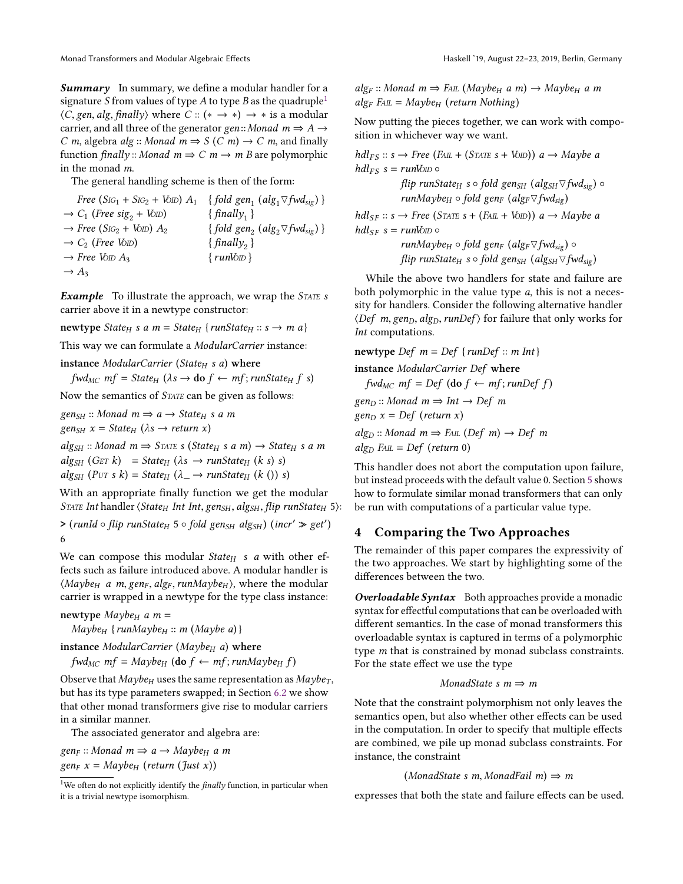**Summary** In summary, we define a modular handler for a signature S from values of type A to type B as the quadruple<sup>[1](#page-6-1)</sup>  $\langle C, \text{gen}, \text{alg}, \text{finally} \rangle$  where  $C : (\ast \rightarrow \ast) \rightarrow \ast$  is a modular carrier, and all three of the generator gen:: Monad  $m \Rightarrow A \rightarrow$ C m, algebra alg :: Monad  $m \Rightarrow S(C m) \rightarrow C m$ , and finally function finally :: Monad  $m \Rightarrow C$   $m \rightarrow m$  B are polymorphic in the monad m.

The general handling scheme is then of the form:

Free  $(S_{IG_1} + S_{IG_2} + V_{OD}) A_1 \{fold gen_1 (alg_1 \triangledown fwd_{sig})\}$  $\rightarrow C_1$  (Free sig<sub>2</sub> + VoID) { $finally_1$ }  $\rightarrow$  Free (S<sub>IG2</sub> + Vo<sub>ID</sub>)  $A_2$ {fold gen<sub>2</sub> (alg<sub>2</sub> $\forall$ fwd<sub>sig</sub>) }  $\rightarrow$  C<sub>2</sub> (Free Vo<sub>ID</sub>) { finally<sub>2</sub> }<br>  $\rightarrow$  Free Vo<sub>ID</sub> A<sub>3</sub> { runVo<sub>ID</sub>} {  $finally_{2}$  }  $\rightarrow$  Free VoID  $A_3$  $\rightarrow$  A<sub>3</sub>

Example To illustrate the approach, we wrap the STATE s carrier above it in a newtype constructor:

newtype State<sub>H</sub> s a m = State<sub>H</sub> {runState<sub>H</sub> :: s  $\rightarrow$  m a}

This way we can formulate a ModularCarrier instance:

instance ModularCarrier (State $_H$  s a) where

 $fwd_{MC}$  mf = State<sub>H</sub> ( $\lambda s \rightarrow$  do  $f \leftarrow mf$ ; runState<sub>H</sub> f s)

Now the semantics of STATE can be given as follows:

 $gen_{SH}$ :: Monad  $m \Rightarrow a \rightarrow State_H s a m$  $gen_{SH} x = State_H (\lambda s \rightarrow return x)$  $alg_{SH}$  :: Monad  $m \Rightarrow$  STATE s (State<sub>H</sub> s a m)  $\rightarrow$  State<sub>H</sub> s a m  $alg_{SH}$  (GET k) = State<sub>H</sub> ( $\lambda s \rightarrow runState_{H}$  ( $k s$ ) s)

 $alg_{SH}$  (PUT s k) = State<sub>H</sub> ( $\lambda \rightarrow runState_H$  (k ()) s)

With an appropriate finally function we get the modular STATE Int handler  $\langle State_H Int Int, gen_{SH}, alg_{SH}, flip \text{ runState}_H 5 \rangle$ :

 $\geq (runId \circ flip \ runState_H 5 \circ fold \ gen_{SH} \ alg_{SH}) \ (incr' \geq get')$ 6

We can compose this modular *State<sub>H</sub>* s a with other effects such as failure introduced above. A modular handler is  $\langle Maybe_H \text{ a } m, \text{gen}_F, \text{alg}_F, \text{run}$   $\text{Map}(e_H)$ , where the modular carrier is wrapped in a newtype for the type class instance:

```
newtype Maybe_H a m =
```
 $Maybe_H$  {runMaybe<sub>H</sub> :: m (Maybe a) }

```
instance ModularCarrier (Maybe<sub>H</sub> a) where
```
 $fwd_{MC}$  mf = Maybe<sub>H</sub> (do  $f \leftarrow mf$ ; runMaybe<sub>H</sub> f)

Observe that  $Maybe_H$  uses the same representation as  $Maybe_T$ , but has its type parameters swapped; in Section [6.2](#page-10-1) we show that other monad transformers give rise to modular carriers in a similar manner.

The associated generator and algebra are:

 $gen_F :: Monad \, m \Rightarrow a \rightarrow Maybe_H \, a \, m$  $gen_F x = Maybe_H (return (Just x))$ 

 $alg_F$  :: Monad  $m \Rightarrow$  FAIL (Maybe<sub>H</sub> a m)  $\rightarrow$  Maybe<sub>H</sub> a m  $alg_F$  FAIL = Maybe<sub>H</sub> (return Nothing)

Now putting the pieces together, we can work with composition in whichever way we want.

 $hdl_{FS} :: s \rightarrow Free (F_{AIL} + (STATE\ s + V_{OLD})) a \rightarrow Mapbe a$  $hdl_{FS}$  s = runVolo  $\circ$ flip runState<sub>H</sub> s  $\circ$  fold gen<sub>SH</sub> (alg<sub>SH</sub> $\triangledown$ fwd<sub>sig</sub>)  $\circ$ runMaybe<sub>H</sub>  $\circ$  fold gen<sub>F</sub> (alg<sub>F</sub> $\triangledown$ fwd<sub>sig</sub>)  $hdl_{SF} :: s \rightarrow Free (STATE s + (F_{ALL} + V_{OLD})) a \rightarrow Maybe a$ 

 $hdl_{SE} s = runV_0$  o

runMaybe<sub>H</sub>  $\circ$  fold gen<sub>F</sub> (alg<sub>F</sub> $\triangledown$ fwd<sub>sig</sub>)  $\circ$ flip runState<sub>H</sub> s  $\circ$  fold gen<sub>SH</sub> (alg<sub>SH</sub> $\triangledown$ fwd<sub>sig</sub>)

While the above two handlers for state and failure are both polymorphic in the value type a, this is not a necessity for handlers. Consider the following alternative handler  $\langle Def \ m, gen_D, alg_D, runDef \rangle$  for failure that only works for Int computations.

newtype Def  $m = Def$  {runDef :: m Int}

instance ModularCarrier Def where

 $fwd_{MC}$  mf = Def (do  $f \leftarrow mf$ ; runDef f)  $gen_D :: Monad \ m \Rightarrow Int \rightarrow Def \ m$  $gen_D x = Def (return x)$  $alg_D$  :: Monad  $m \Rightarrow$  FAIL (Def  $m$ )  $\rightarrow$  Def m

 $alg_D$  FAIL = Def (return 0)

This handler does not abort the computation upon failure, but instead proceeds with the default value 0. Section [5](#page-8-0) shows how to formulate similar monad transformers that can only be run with computations of a particular value type.

# <span id="page-6-0"></span>4 Comparing the Two Approaches

The remainder of this paper compares the expressivity of the two approaches. We start by highlighting some of the differences between the two.

**Overloadable Syntax** Both approaches provide a monadic syntax for effectful computations that can be overloaded with different semantics. In the case of monad transformers this overloadable syntax is captured in terms of a polymorphic type m that is constrained by monad subclass constraints. For the state effect we use the type

### MonadState s  $m \Rightarrow m$

Note that the constraint polymorphism not only leaves the semantics open, but also whether other effects can be used in the computation. In order to specify that multiple effects are combined, we pile up monad subclass constraints. For instance, the constraint

```
(MonadState s m, MonadFail m) \Rightarrow m
```
expresses that both the state and failure effects can be used.

<span id="page-6-1"></span><sup>&</sup>lt;sup>1</sup>We often do not explicitly identify the *finally* function, in particular when it is a trivial newtype isomorphism.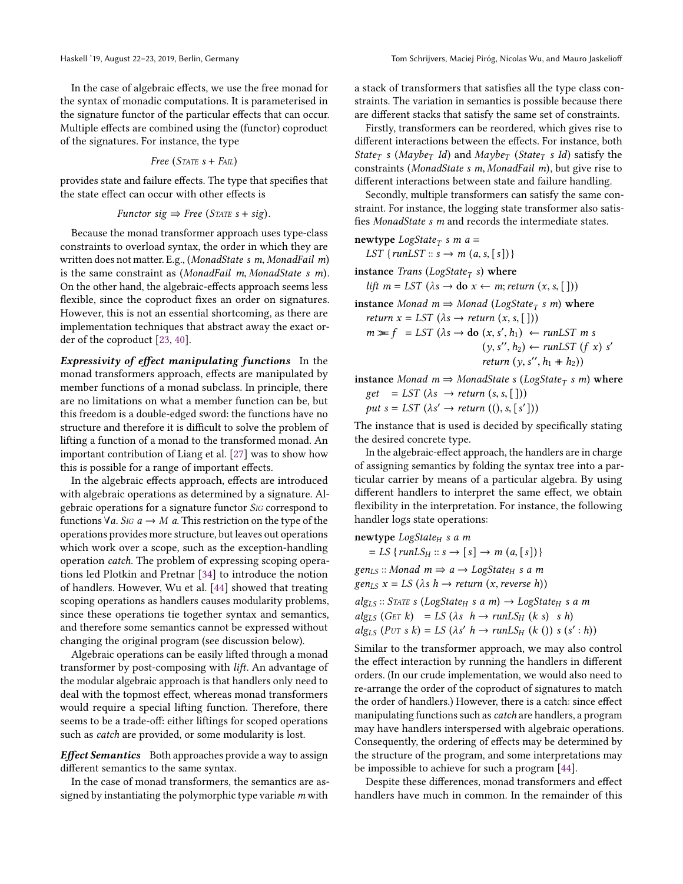In the case of algebraic effects, we use the free monad for the syntax of monadic computations. It is parameterised in the signature functor of the particular effects that can occur. Multiple effects are combined using the (functor) coproduct of the signatures. For instance, the type

Free (STATE 
$$
s + F
$$
AL)

provides state and failure effects. The type that specifies that the state effect can occur with other effects is

$$
Function\ sig \Rightarrow Free\ (STATE\ s + sig).
$$

Because the monad transformer approach uses type-class constraints to overload syntax, the order in which they are written does not matter. E.g., (MonadState s m, MonadFail <sup>m</sup>) is the same constraint as (MonadFail <sup>m</sup>, MonadState s m). On the other hand, the algebraic-effects approach seems less flexible, since the coproduct fixes an order on signatures. However, this is not an essential shortcoming, as there are implementation techniques that abstract away the exact order of the coproduct [\[23,](#page-14-4) [40\]](#page-15-3).

Expressivity of effect manipulating functions In the monad transformers approach, effects are manipulated by member functions of a monad subclass. In principle, there are no limitations on what a member function can be, but this freedom is a double-edged sword: the functions have no structure and therefore it is difficult to solve the problem of lifting a function of a monad to the transformed monad. An important contribution of Liang et al. [\[27\]](#page-14-5) was to show how this is possible for a range of important effects.

In the algebraic effects approach, effects are introduced with algebraic operations as determined by a signature. Algebraic operations for a signature functor SIG correspond to functions  $\forall a$ . Sig  $a \rightarrow M$  a. This restriction on the type of the operations provides more structure, but leaves out operations which work over a scope, such as the exception-handling operation catch. The problem of expressing scoping operations led Plotkin and Pretnar [\[34\]](#page-15-4) to introduce the notion of handlers. However, Wu et al. [\[44\]](#page-15-5) showed that treating scoping operations as handlers causes modularity problems, since these operations tie together syntax and semantics, and therefore some semantics cannot be expressed without changing the original program (see discussion below).

Algebraic operations can be easily lifted through a monad transformer by post-composing with lift. An advantage of the modular algebraic approach is that handlers only need to deal with the topmost effect, whereas monad transformers would require a special lifting function. Therefore, there seems to be a trade-off: either liftings for scoped operations such as catch are provided, or some modularity is lost.

Effect Semantics Both approaches provide a way to assign different semantics to the same syntax.

In the case of monad transformers, the semantics are assigned by instantiating the polymorphic type variable m with

a stack of transformers that satisfies all the type class constraints. The variation in semantics is possible because there are different stacks that satisfy the same set of constraints.

Firstly, transformers can be reordered, which gives rise to different interactions between the effects. For instance, both State<sub>T</sub> s (Maybe<sub>T</sub> Id) and Maybe<sub>T</sub> (State<sub>T</sub> s Id) satisfy the constraints (MonadState s m, MonadFail <sup>m</sup>), but give rise to different interactions between state and failure handling.

Secondly, multiple transformers can satisfy the same constraint. For instance, the logging state transformer also satisfies MonadState s m and records the intermediate states.

 $newtype LogState_T s m a =$ LST { $runLST :: s \rightarrow m (a, s, [s])$ }

instance *Trans* (LogState<sub>T</sub> s) where

lift  $m = LST$  ( $\lambda s \rightarrow$  do  $x \leftarrow m$ ; return  $(x, s, [\ ])$ )

instance Monad  $m \Rightarrow Monad (LogState_T s m)$  where return  $x = LST$  ( $\lambda s \rightarrow return (x, s, [$ ]))  $m \geq f = LST \ (\lambda s \to \text{do } (x, s', h_1) \leftarrow runLST \ m \ s$  $(y, s'', h_2) \leftarrow \text{runLST} (f x) s'$ return  $(y, s'', h_1 + h_2)$ 

instance Monad  $m \Rightarrow MonadState \ s \ (LogState_T \ s \ m)$  where  $get = LST (\lambda s \rightarrow return (s, s, []))$ put  $s = LST \ (\lambda s' \rightarrow return \ ((), s, [s']) )$ 

The instance that is used is decided by specifically stating the desired concrete type.

In the algebraic-effect approach, the handlers are in charge of assigning semantics by folding the syntax tree into a particular carrier by means of a particular algebra. By using different handlers to interpret the same effect, we obtain flexibility in the interpretation. For instance, the following handler logs state operations:

newtype  $LogState_H$  s a m  $= LS \{ runLS_H :: s \rightarrow [s] \rightarrow m (a, [s]) \}$  $gen_{LS}$ :: Monad  $m \Rightarrow a \rightarrow LogState_H$  s a m  $gen_{LS} x = LS (\lambda s h \rightarrow return (x, reverse h))$  $alg_{LS} ::$  STATE s (LogState<sub>H</sub> s a m)  $\rightarrow$  LogState<sub>H</sub> s a m  $alg_{LS}$  (GET k) = LS ( $\lambda s$  h  $\rightarrow$  runLS<sub>H</sub> (k s) s h)  $alg_{LS}$   $(PUT s k) = LS (\lambda s' h \rightarrow runLS_H (k()) s (s':h))$ 

Similar to the transformer approach, we may also control the effect interaction by running the handlers in different orders. (In our crude implementation, we would also need to re-arrange the order of the coproduct of signatures to match the order of handlers.) However, there is a catch: since effect manipulating functions such as *catch* are handlers, a program may have handlers interspersed with algebraic operations. Consequently, the ordering of effects may be determined by the structure of the program, and some interpretations may be impossible to achieve for such a program [\[44\]](#page-15-5).

Despite these differences, monad transformers and effect handlers have much in common. In the remainder of this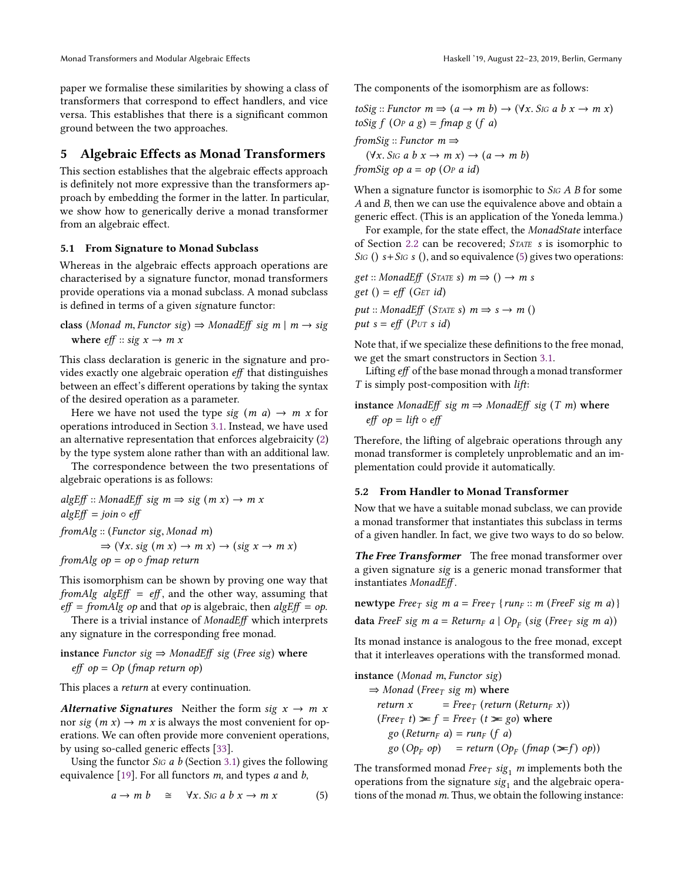paper we formalise these similarities by showing a class of transformers that correspond to effect handlers, and vice versa. This establishes that there is a significant common ground between the two approaches.

# <span id="page-8-0"></span>5 Algebraic Effects as Monad Transformers

This section establishes that the algebraic effects approach is definitely not more expressive than the transformers approach by embedding the former in the latter. In particular, we show how to generically derive a monad transformer from an algebraic effect.

### <span id="page-8-2"></span>5.1 From Signature to Monad Subclass

Whereas in the algebraic effects approach operations are characterised by a signature functor, monad transformers provide operations via a monad subclass. A monad subclass is defined in terms of a given signature functor:

class (Monad m, Functor sig) <sup>⇒</sup> MonadEff sig m <sup>|</sup> <sup>m</sup> <sup>→</sup> sig where eff :: sig x → m x

This class declaration is generic in the signature and provides exactly one algebraic operation eff that distinguishes between an effect's different operations by taking the syntax of the desired operation as a parameter.

Here we have not used the type sig  $(m \ a) \rightarrow m \ x$  for operations introduced in Section [3.1.](#page-3-2) Instead, we have used an alternative representation that enforces algebraicity [\(2\)](#page-3-1) by the type system alone rather than with an additional law.

The correspondence between the two presentations of algebraic operations is as follows:

 $algEff :: MonadEff sig m \Rightarrow sig (m x) \rightarrow m x$  $algEff = join \circ eff$ fromAlg :: (Functor sig, Monad m)  $\Rightarrow$  ( $\forall x.$  sig  $(m x) \rightarrow m x$ )  $\rightarrow$  (sig  $x \rightarrow m x$ ) fromAlg  $op = op \circ fmap$  return

This isomorphism can be shown by proving one way that fromAlg algEff =  $eff$ , and the other way, assuming that  $eff = from Alg$  op and that op is algebraic, then  $algEff = op$ .

There is a trivial instance of MonadEff which interprets any signature in the corresponding free monad.

instance Functor sig  $⇒$  MonadEff sig (Free sig) where  $eff$  op = Op (fmap return op)

This places a return at every continuation.

Alternative Signatures Neither the form sig  $x \to m x$ nor sig  $(m x) \rightarrow m x$  is always the most convenient for operations. We can often provide more convenient operations, by using so-called generic effects [\[33\]](#page-14-9).

Using the functor  $S$ IG a b (Section [3.1\)](#page-3-2) gives the following equivalence [\[19\]](#page-14-12). For all functors  $m$ , and types  $a$  and  $b$ ,

<span id="page-8-1"></span>
$$
a \to m b \quad \cong \quad \forall x. \, S \text{ is a } b \, x \to m \, x \tag{5}
$$

The components of the isomorphism are as follows:

toSig :: Functor  $m \Rightarrow (a \rightarrow m b) \rightarrow (\forall x. S$ ig a b  $x \rightarrow m x)$ toSig  $f$  (O<sub>P</sub>  $a$  g) = fmap  $g$  ( $f$   $a$ ) fromSig :: Functor  $m \Rightarrow$ 

 $(\forall x. S \text{ is a } b \text{ } x \rightarrow m \text{ } x) \rightarrow (a \rightarrow m \text{ } b)$ from Sig op  $a = op$  (O<sub>P</sub>  $a$  id)

When a signature functor is isomorphic to  $S$ IG  $A$   $B$  for some A and B, then we can use the equivalence above and obtain a generic effect. (This is an application of the Yoneda lemma.)

For example, for the state effect, the MonadState interface of Section [2.2](#page-1-1) can be recovered; STATE s is isomorphic to SIG ()  $s+S$ IG s (), and so equivalence [\(5\)](#page-8-1) gives two operations:

get :: MonadEff (STATE s)  $m \Rightarrow$  ()  $\rightarrow m$  s get () =  $eff$  (G<sub>ET</sub> id) put :: MonadEff (STATE s)  $m \Rightarrow s \rightarrow m$  () put  $s = eff$  (P<sub>UT</sub> s id)

Note that, if we specialize these definitions to the free monad, we get the smart constructors in Section [3.1.](#page-3-2)

Lifting eff of the base monad through a monad transformer  $T$  is simply post-composition with  $lift$ :

# instance MonadEff sig  $m \Rightarrow MonadEff$  sig (T m) where eff op =  $lift \circ eff$

Therefore, the lifting of algebraic operations through any monad transformer is completely unproblematic and an implementation could provide it automatically.

# 5.2 From Handler to Monad Transformer

Now that we have a suitable monad subclass, we can provide a monad transformer that instantiates this subclass in terms of a given handler. In fact, we give two ways to do so below.

The Free Transformer The free monad transformer over a given signature sig is a generic monad transformer that instantiates MonadEff .

newtype  $Free_T$  sig m  $a = Free_T$  {run<sub>F</sub> :: m (FreeF sig m a)}

data FreeF sig m a = Return<sub>F</sub> a | Op<sub>F</sub> (sig (Free<sub>T</sub> sig m a))

Its monad instance is analogous to the free monad, except that it interleaves operations with the transformed monad.

$$
\begin{aligned}\n\text{instance (Monad m, Function sig)}\\
&\Rightarrow \text{Monad (Free}_T \text{ sig m) where} \\
\text{return x} &= \text{Free}_T \text{ (return (Return}_F x)) \\
(\text{Free}_T \text{ t}) &\geq f = \text{Free}_T \text{ (t} \geq \text{go}) \text{ where} \\
&\text{go (Return}_F a) = \text{run}_F \text{ (f a)} \\
&\text{go (Op}_F \text{ op)} = \text{return } (\text{Op}_F \text{ (fmap } (\geq f) \text{ op}))\n\end{aligned}
$$

The transformed monad Free  $_I$  sig<sub>1</sub> m implements both the operations from the signature  $\mathfrak{sig}_1$  and the algebraic operations of the monad  $m$ . Thus, we obtain the following instance: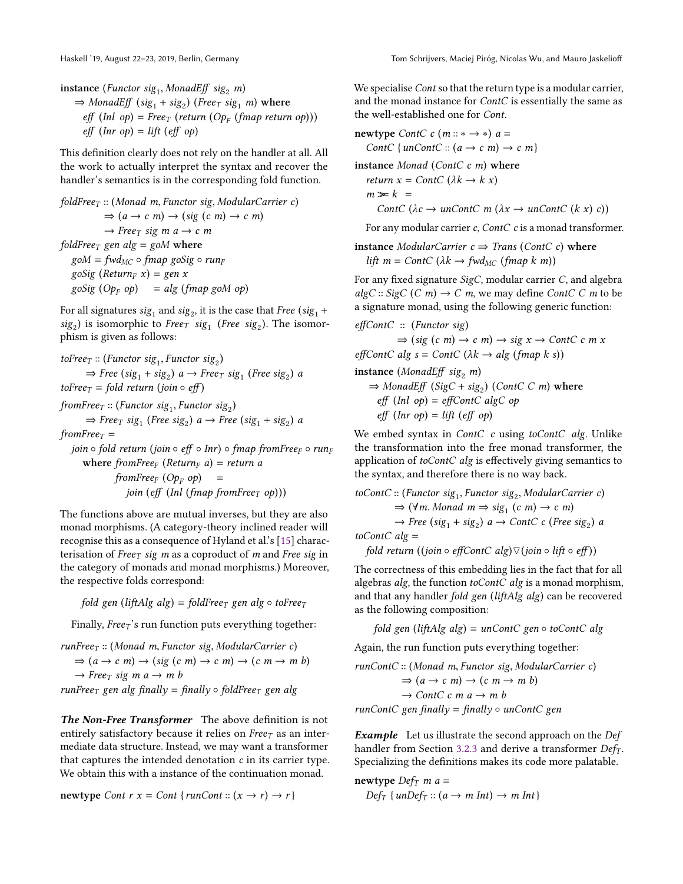**instance** (Functor sig<sub>1</sub>, MonadEff sig<sub>2</sub> m)<br>  $\rightarrow$  MonadEff (sig<sub>1</sub> sig<sub>2</sub>) (Free-sig

 $\Rightarrow$  MonadEff (sig<sub>1</sub> + sig<sub>2</sub>) (Free<sub>T</sub> sig<sub>1</sub> m) where  $\mathit{eff}$  (Inl op) = Free<sub>T</sub> (return (Op<sub>F</sub> (fmap return op)))  $eff$  (Inr op) = lift (eff op)

This definition clearly does not rely on the handler at all. All the work to actually interpret the syntax and recover the handler's semantics is in the corresponding fold function.

 $foldFree_T :: (Monad m, Functor sig, Modular Carrier c)$  $\Rightarrow$   $(a \rightarrow c \; m) \rightarrow (sig (c \; m) \rightarrow c \; m)$  $\rightarrow$  Free<sub>T</sub> sig m a  $\rightarrow$  c m foldFree<sub>T</sub> gen alg = goM where  $\text{g} \text{o} M = \text{f} \text{w} \text{d}_{\text{MC}} \circ \text{f} \text{m} \text{a} \text{p} \text{g} \text{o} \text{Si} \text{g} \circ \text{r} \text{u} \text{n} \text{F}$ goSig (Return<sub>F</sub> x) = gen x  $g \circ Sig \ (Op_F \ op) = alg \ (f map \ g \circ M \ op)$ 

For all signatures  $\operatorname{sig}_1$  and  $\operatorname{sig}_2$ , it is the case that  $\operatorname{Free}\left(\operatorname{sig}_1+\right.$  $sig_2$ ) is isomorphic to *Free*<sub>T</sub>  $sig_1$  (*Free*  $sig_2$ ). The isomorphism is given as follows:

\n
$$
\text{toFree}_T: (\text{Function sig}_1, \text{Function sig}_2) \Rightarrow \text{Free}(sig_1 + sig_2) \, a \rightarrow \text{Free}_T \, sig_1 \, (\text{Free sig}_2) \, a
$$
\n

\n\n $\text{toFree}_T = \text{fold return} \, (\text{join} \circ \text{eff})$ \n

fromFree<sub>T</sub> :: (Functor sig<sub>1</sub>, Functor sig<sub>2</sub>)<br>  $\rightarrow$  Free<sub>n</sub> sig<sub>1</sub> (Free sig<sub>1</sub>) e<sub>n</sub> ) Free  $\Rightarrow$  Free<sub>T</sub> sig<sub>1</sub> (Free sig<sub>2</sub>) a  $\rightarrow$  Free (sig<sub>1</sub> + sig<sub>2</sub>) a

fromFree $\tau$  = join ∘ fold return (join ∘ eff ∘ Inr) ∘ fmap fromFree<sub>F</sub> ∘ run<sub>F</sub> where fromFree<sub>F</sub> (Return<sub>F</sub> a) = return a  $from Free_F (Op_F op) =$ 

join (eff (Inl (fmap from Free<sub>T</sub> op)))

The functions above are mutual inverses, but they are also monad morphisms. (A category-theory inclined reader will recognise this as a consequence of Hyland et al.'s [\[15\]](#page-14-13) characterisation of Free $T$  sig m as a coproduct of m and Free sig in the category of monads and monad morphisms.) Moreover, the respective folds correspond:

fold gen (liftAlg alg) = foldFree<sub>T</sub> gen alg  $\circ$  toFree<sub>T</sub>

Finally, *Free* $\tau$ 's run function puts everything together:

 $runFree_T :: (Monad m, Function sig, Modular Carrier c)$  $\Rightarrow$   $(a \rightarrow c \ m) \rightarrow (sig (c \ m) \rightarrow c \ m) \rightarrow (c \ m \rightarrow m \ b)$  $\rightarrow$  Free<sub>T</sub> sig m a  $\rightarrow$  m b runFree<sub>T</sub> gen alg finally = finally  $\circ$  foldFree<sub>T</sub> gen alg

The Non-Free Transformer The above definition is not entirely satisfactory because it relies on  $Free<sub>T</sub>$  as an intermediate data structure. Instead, we may want a transformer that captures the intended denotation  $c$  in its carrier type. We obtain this with a instance of the continuation monad.

newtype Cont  $r x = Cont \{ runCont :: (x \rightarrow r) \rightarrow r \}$ 

We specialise *Cont* so that the return type is a modular carrier, and the monad instance for ContC is essentially the same as the well-established one for Cont.

newtype  $ContC$  c  $(m::* \rightarrow *)$   $a =$ ContC {  $unContC :: (a \rightarrow c m) \rightarrow c m$  } instance Monad (ContC  $c$  m) where return  $x = ContC$  ( $\lambda k \rightarrow k x$ )  $m \ge k =$ ContC ( $\lambda c \rightarrow unContC$  m ( $\lambda x \rightarrow unContC$  ( $k x$ ) c)) For any modular carrier c, ContC c is a monad transformer.

instance ModularCarrier  $c \Rightarrow Trans (Cont C c)$  where lift  $m = ContC$  ( $\lambda k \rightarrow fwd_{MC}$  (fmap k m))

For any fixed signature SigC, modular carrier C, and algebra  $algC::SigC(C m) \rightarrow C m$ , we may define *ContC C m* to be a signature monad, using the following generic function:

$$
effContC :: (Function \ sig)
$$
  

$$
\Rightarrow (cis (a \ m) \rightarrow a \ m)
$$

 $\Rightarrow$  (sig (c m)  $\rightarrow$  c m)  $\rightarrow$  sig x  $\rightarrow$  ContC c m x effContC alg  $s = ContC$  ( $\lambda k \rightarrow alg$  (fmap k s))

instance (MonadEff sig<sub>2</sub> m)

 $\Rightarrow$  MonadEff (SigC + sig<sub>2</sub>) (ContC C m) where  $eff$  (Inl  $op$ ) = effContC algC op  $eff (Inr op) = lift (eff op)$ 

We embed syntax in ContC c using toContC alg. Unlike the transformation into the free monad transformer, the application of toContC alg is effectively giving semantics to the syntax, and therefore there is no way back.

$$
toContC :: (Function sig_1, Function sig_2, ModularCarrier c)
$$
  
\n
$$
\Rightarrow (\forall m. Monad \space m \Rightarrow sig_1 \space (c \space m) \rightarrow c \space m)
$$
  
\n
$$
\rightarrow Free (sig_1 + sig_2) \space a \rightarrow ContC \space c \space (Free sig_2) \space a
$$
  
\ntoContC alg =

fold return ((join  $\circ$  effContC alg) $\triangledown$ (join  $\circ$  lift  $\circ$  eff))

The correctness of this embedding lies in the fact that for all algebras  $alg$ , the function  $toContC$  alg is a monad morphism, and that any handler fold gen (liftAlg alg) can be recovered as the following composition:

fold gen (liftAlg alg) =  $unContC$  gen  $\circ$  toContC alg

Again, the run function puts everything together:

$$
runContC :: (Monad m, Functor sig, ModularCarrier c)
$$
  
\n⇒  $(a \rightarrow c m) \rightarrow (c m \rightarrow m b)$   
\n→  $ContC c m a \rightarrow m b$   
\n $runContC gen finally = finally \circ unContC gen$ 

Example Let us illustrate the second approach on the Def handler from Section [3.2.3](#page-5-0) and derive a transformer  $Def_T$ . Specializing the definitions makes its code more palatable.

newtype  $Def_T$  m a =  $Def_T \{unDef_T :: (a \rightarrow m Int) \rightarrow m Int\}$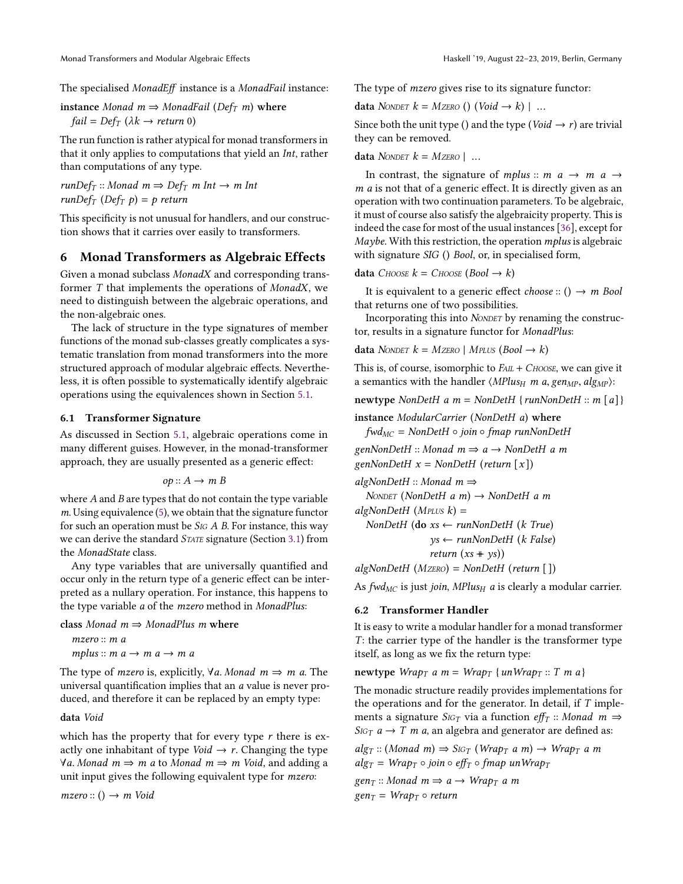The specialised MonadEff instance is a MonadFail instance:

instance Monad  $m \Rightarrow$  MonadFail (Def<sub>T</sub> m) where  $fail = Def_T (\lambda k \rightarrow return 0)$ 

The run function is rather atypical for monad transformers in that it only applies to computations that yield an Int, rather than computations of any type.

 $runDef_T :: Monad \, m \Rightarrow Def_T \, m \, Int \to m \, Int$  $runDef_T$  (Def<sub>T</sub> p) = p return

This specificity is not unusual for handlers, and our construction shows that it carries over easily to transformers.

# <span id="page-10-0"></span>6 Monad Transformers as Algebraic Effects

Given a monad subclass MonadX and corresponding transformer T that implements the operations of MonadX, we need to distinguish between the algebraic operations, and the non-algebraic ones.

The lack of structure in the type signatures of member functions of the monad sub-classes greatly complicates a systematic translation from monad transformers into the more structured approach of modular algebraic effects. Nevertheless, it is often possible to systematically identify algebraic operations using the equivalences shown in Section [5.1.](#page-8-2)

### 6.1 Transformer Signature

As discussed in Section [5.1,](#page-8-2) algebraic operations come in many different guises. However, in the monad-transformer approach, they are usually presented as a generic effect:

$$
op: A \rightarrow m
$$
 B

where  $A$  and  $B$  are types that do not contain the type variable  $m$ . Using equivalence [\(5\)](#page-8-1), we obtain that the signature functor for such an operation must be  $S$ IG A B. For instance, this way we can derive the standard STATE signature (Section [3.1\)](#page-3-2) from the MonadState class.

Any type variables that are universally quantified and occur only in the return type of a generic effect can be interpreted as a nullary operation. For instance, this happens to the type variable a of the mzero method in MonadPlus:

#### class Monad  $m \Rightarrow$  MonadPlus m where

mzero :: m a mplus ::  $m a \rightarrow m a \rightarrow m a$ 

The type of *mzero* is, explicitly,  $\forall a$ . Monad  $m \Rightarrow m$  a. The universal quantification implies that an a value is never produced, and therefore it can be replaced by an empty type:

### data Void

which has the property that for every type  $r$  there is exactly one inhabitant of type *Void*  $\rightarrow$  *r*. Changing the type  $\forall a.$  Monad  $m \Rightarrow m$  a to Monad  $m \Rightarrow m$  Void, and adding a unit input gives the following equivalent type for mzero:

 $mzero: ( ) \rightarrow m$  Void

The type of *mzero* gives rise to its signature functor:

data NONDET  $k = M$ ZERO () (Void  $\rightarrow k$ ) | ...

Since both the unit type () and the type ( $\text{Void} \rightarrow r$ ) are trivial they can be removed.

data NONDET  $k = M$ ZERO | ...

In contrast, the signature of mplus :: m  $a \rightarrow m \ a \rightarrow$  $m$  a is not that of a generic effect. It is directly given as an operation with two continuation parameters. To be algebraic, it must of course also satisfy the algebraicity property. This is indeed the case for most of the usual instances [\[36\]](#page-15-6), except for Maybe. With this restriction, the operation *mplus* is algebraic with signature SIG () Bool, or, in specialised form,

data CHOOSE  $k =$  CHOOSE (Bool  $\rightarrow k$ )

It is equivalent to a generic effect *choose* :: ()  $\rightarrow$  *m* Bool that returns one of two possibilities.

Incorporating this into NONDET by renaming the constructor, results in a signature functor for MonadPlus:

data NONDET  $k = M$ ZERO | MPLUS (Bool  $\rightarrow k$ )

This is, of course, isomorphic to  $F_{AIL} + C_{HOOSE}$ , we can give it a semantics with the handler  $\langle MPlus_H \; m \; a, gen_{MP}, alg_{MP} \rangle$ :

newtype NonDetH a  $m = \text{NonDetH} \{ \text{runNonDetH} :: m \{a\} \}$ 

instance ModularCarrier (NonDetH a) where

 $fwd_{MC}$  = NonDetH  $\circ$  join  $\circ$  fmap runNonDetH

genNonDetH :: Monad  $m \Rightarrow a \rightarrow$  NonDetH a m

genNonDetH  $x = \text{NonDetH}$  (return  $[x]$ )

algNonDetH  $::$  Monad  $m \Rightarrow$ 

NONDET (NonDetH a m)  $\rightarrow$  NonDetH a m

```
algNonDetH (MPLUS k) =
  NonDetH (do xs \leftarrow runNonDetH (k True)
```

$$
M = \frac{1}{2} \left( \frac{1}{2} \pi \right)
$$

 $ys \leftarrow runNonDetH$  (k False) return  $(xs + ys)$ 

 $algNonDetH$  (MZERO) = NonDetH (return [])

As fwd<sub>MC</sub> is just join, MPlus<sub>H</sub> a is clearly a modular carrier.

#### <span id="page-10-1"></span>6.2 Transformer Handler

It is easy to write a modular handler for a monad transformer T: the carrier type of the handler is the transformer type itself, as long as we fix the return type:

newtype  $Wrap_T$  a m =  $Wrap_T$  {unWrap<sub>T</sub> :: T m a}

The monadic structure readily provides implementations for the operations and for the generator. In detail, if  $T$  implements a signature  $S_{\text{IG}T}$  via a function eff<sub>T</sub> :: Monad m  $\Rightarrow$  $S_{\text{IG}T}$   $a \rightarrow T$  *m a*, an algebra and generator are defined as:

 $alg_T :: (Monad \; m) \Rightarrow SIG_T \; (Wrap_T \; a \; m) \rightarrow Wrap_T \; a \; m$  $alg_T = Wrap_T \circ join \circ eff_T \circ final$  un Wrap  $gen_T :: Monad \, m \Rightarrow a \rightarrow Wrap_T \, a \, m$ 

 $gen_T = Wrap_T \circ return$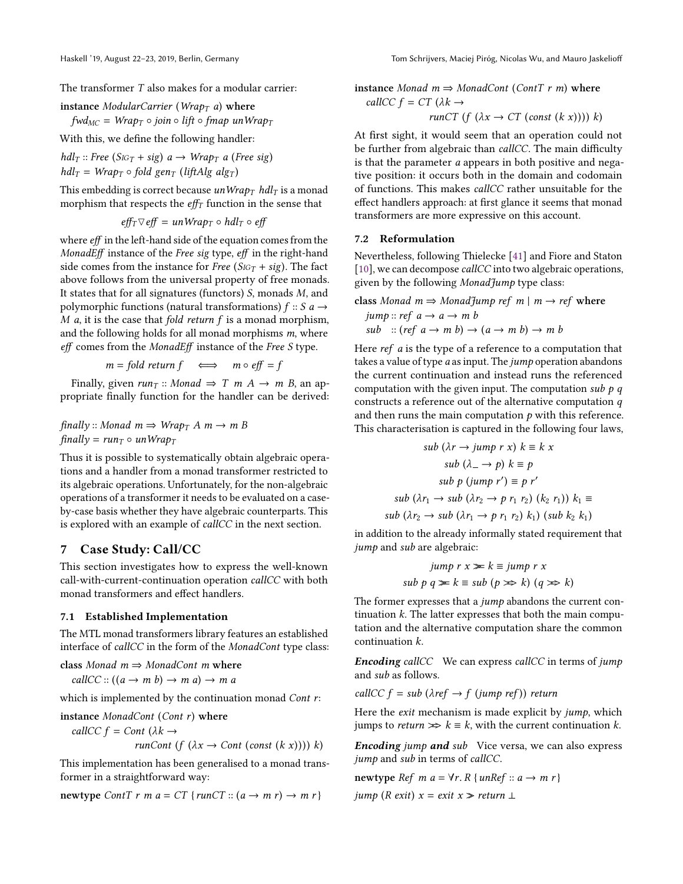The transformer T also makes for a modular carrier:

$$
instance\ \textit{ModularCarrier}\ (\textit{Wrap}_T\ a)\ \textit{where}
$$

$$
fwd_{MC} = Wrap_T \circ join \circ lift \circ fmap \; unWrap_T
$$

With this, we define the following handler:

$$
hdl_T :: Free (SIG_T + sig) a \rightarrow Wrap_T a (Free sig)
$$
  

$$
hdl_T = Wrap_T \circ fold gen_T (liftAlg alg_T)
$$

This embedding is correct because unWra $p_T$  hdl<sub>T</sub> is a monad morphism that respects the  $\mathit{eff}_{T}$  function in the sense that

$$
eff_T \nabla eff = unWrap_T \circ hdl_T \circ eff
$$

where eff in the left-hand side of the equation comes from the MonadEff instance of the Free sig type, eff in the right-hand side comes from the instance for Free ( $S_{IGT}$  + sig). The fact above follows from the universal property of free monads. It states that for all signatures (functors) S, monads M, and polymorphic functions (natural transformations)  $f :: S$   $a \rightarrow$  $M$  a, it is the case that fold return  $f$  is a monad morphism, and the following holds for all monad morphisms  $m$ , where eff comes from the MonadEff instance of the Free S type.

$$
m = fold return f \iff m \circ eff = f
$$

Finally, given  $run_T$  :: Monad  $\Rightarrow$  T m A  $\rightarrow$  m B, an appropriate finally function for the handler can be derived:

$$
finally:: \text{Monad } m \Rightarrow \text{Wrap}_T \land m \rightarrow m \text{B}
$$
\n
$$
finally = run_T \circ un \text{Wrap}_T
$$

Thus it is possible to systematically obtain algebraic operations and a handler from a monad transformer restricted to its algebraic operations. Unfortunately, for the non-algebraic operations of a transformer it needs to be evaluated on a caseby-case basis whether they have algebraic counterparts. This is explored with an example of callCC in the next section.

# <span id="page-11-0"></span>7 Case Study: Call/CC

This section investigates how to express the well-known call-with-current-continuation operation callCC with both monad transformers and effect handlers.

### 7.1 Established Implementation

The MTL monad transformers library features an established interface of callCC in the form of the MonadCont type class:

class Monad  $m \Rightarrow MonadCont$  m where

callCC ::  $((a \rightarrow m b) \rightarrow m a) \rightarrow m a$ 

which is implemented by the continuation monad Cont r:

$$
\begin{aligned}\n\text{instance } \text{MonadCont (Cont r) where} \\
\text{callCC } f &= \text{Cont } (\lambda k \rightarrow \\
& run\text{Cont } (f \ (\lambda x \rightarrow \text{Cont } (\text{const } (k \ x)))) \ k)\n\end{aligned}
$$

This implementation has been generalised to a monad transformer in a straightforward way:

newtype ContT r m a = CT { runCT ::  $(a \rightarrow m r) \rightarrow m r$  }

instance Monad  $m \Rightarrow MonadCont (Cont T r m)$  where callCC  $f = CT$  ( $\lambda k \rightarrow$ 

$$
runCT (f (\lambda x \rightarrow CT (const (k x)))) k)
$$

At first sight, it would seem that an operation could not be further from algebraic than callCC. The main difficulty is that the parameter a appears in both positive and negative position: it occurs both in the domain and codomain of functions. This makes callCC rather unsuitable for the effect handlers approach: at first glance it seems that monad transformers are more expressive on this account.

### 7.2 Reformulation

Nevertheless, following Thielecke [\[41\]](#page-15-7) and Fiore and Staton [\[10\]](#page-14-14), we can decompose *callCC* into two algebraic operations, given by the following MonadJump type class:

class Monad 
$$
m \Rightarrow
$$
 MonadJump ref  $m \mid m \rightarrow ref$  where

\n $jump::ref \quad a \rightarrow a \rightarrow m \quad b$ \n $sub::(ref \quad a \rightarrow m \quad b) \rightarrow (a \rightarrow m \quad b) \rightarrow m \quad b$ 

Here *ref a* is the type of a reference to a computation that takes a value of type  $a$  as input. The  $jump$  operation abandons the current continuation and instead runs the referenced computation with the given input. The computation sub  $p \, q$ constructs a reference out of the alternative computation  $q$ and then runs the main computation  $p$  with this reference. This characterisation is captured in the following four laws,

$$
sub (\lambda r \rightarrow jump \ r \ x) \ k \equiv k \ x
$$
  
\n
$$
sub (\lambda_{-} \rightarrow p) \ k \equiv p
$$
  
\n
$$
sub \ (\lambda r_1 \rightarrow sub (\lambda r_2 \rightarrow p \ r_1 \ r_2) \ (k_2 \ r_1)) \ k_1 \equiv
$$
  
\n
$$
sub (\lambda r_1 \rightarrow sub (\lambda r_2 \rightarrow p \ r_1 \ r_2) \ (k_2 \ r_1)) \ k_1 \equiv
$$
  
\n
$$
sub (\lambda r_2 \rightarrow sub (\lambda r_1 \rightarrow p \ r_1 \ r_2) \ k_1) \ (sub \ k_2 \ k_1)
$$

in addition to the already informally stated requirement that jump and sub are algebraic:

$$
jump r x \ge k \equiv jump r x
$$
  
sub p q \ge k \equiv sub (p \gg k) (q \gg k)

The former expresses that a *jump* abandons the current continuation  $k$ . The latter expresses that both the main computation and the alternative computation share the common continuation k.

**Encoding** callCC We can express callCC in terms of jump and sub as follows.

callCC  $f = sub (\lambda ref \rightarrow f (jump ref))$  return

Here the *exit* mechanism is made explicit by *jump*, which jumps to *return*  $\gg k \equiv k$ , with the current continuation k.

**Encoding** jump and sub Vice versa, we can also express jump and sub in terms of callCC.

$$
\begin{aligned}\n\text{newtype } \text{Ref } m \ a &= \forall r. \ R \ \{ \text{unRef} :: a \rightarrow m \ r \} \\
\text{jump } (\text{R exit}) \ x &= \text{exit } x \gg \text{return } \bot\n\end{aligned}
$$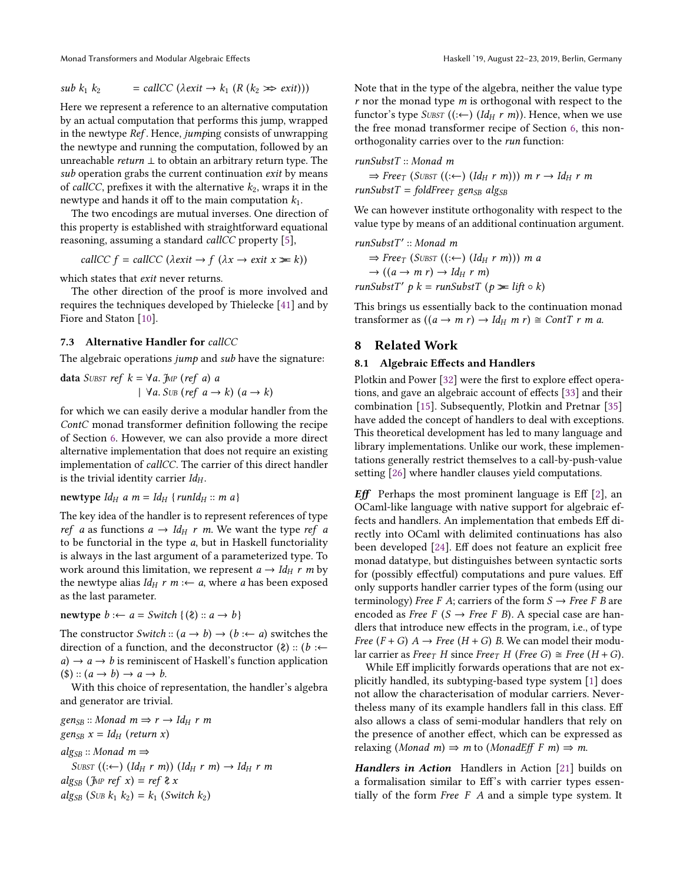Monad Transformers and Modular Algebraic Effects Haskell '19, August 22-23, 2019, Berlin, Germany

$$
sub k_1 k_2 = call CC (\lambda exit \rightarrow k_1 (R (k_2 \gg exit)))
$$

Here we represent a reference to an alternative computation by an actual computation that performs this jump, wrapped in the newtype Ref. Hence, jumping consists of unwrapping the newtype and running the computation, followed by an unreachable *return*  $\perp$  to obtain an arbitrary return type. The sub operation grabs the current continuation exit by means of *callCC*, prefixes it with the alternative  $k_2$ , wraps it in the newtype and hands it off to the main computation  $k_1$ .

The two encodings are mutual inverses. One direction of this property is established with straightforward equational reasoning, assuming a standard callCC property [\[5\]](#page-14-15),

$$
callCC f = callCC (\lambda exit \rightarrow f (\lambda x \rightarrow exit x \ge k))
$$

which states that *exit* never returns.

The other direction of the proof is more involved and requires the techniques developed by Thielecke [\[41\]](#page-15-7) and by Fiore and Staton [\[10\]](#page-14-14).

### 7.3 Alternative Handler for callCC

The algebraic operations *jump* and *sub* have the signature:

data SUBST ref 
$$
k = \forall a
$$
. JMP (ref a) a  
  $\forall a$ . SUB (ref a  $\rightarrow k$ ) (a  $\rightarrow k$ )

for which we can easily derive a modular handler from the ContC monad transformer definition following the recipe of Section [6.](#page-10-0) However, we can also provide a more direct alternative implementation that does not require an existing implementation of callCC. The carrier of this direct handler is the trivial identity carrier  $Id_H$ .

newtype  $Id_H$  a  $m = Id_H$  {runId $_H$  :: m a}

The key idea of the handler is to represent references of type ref a as functions  $a \rightarrow Id_H r$  m. We want the type ref a to be functorial in the type  $a$ , but in Haskell functoriality is always in the last argument of a parameterized type. To work around this limitation, we represent  $a \rightarrow Id_H r m$  by the newtype alias  $Id_H r \, m \nleftrightarrow a$ , where a has been exposed as the last parameter.

newtype  $b := a = Switch \{(\lambda) :: a \rightarrow b\}$ 

The constructor *Switch* ::  $(a \rightarrow b) \rightarrow (b \leftarrow a)$  switches the direction of a function, and the deconstructor  $(\ell)$  :: (b : $\leftarrow$  $a) \rightarrow a \rightarrow b$  is reminiscent of Haskell's function application  $(\$): (a \rightarrow b) \rightarrow a \rightarrow b.$ 

With this choice of representation, the handler's algebra and generator are trivial.

 $gen_{SB}$  :: Monad  $m \Rightarrow r \rightarrow Id_H r m$ gen<sub>SB</sub>  $x = Id_H$  (return x)

 $alg_{SB}$  :: Monad  $m \Rightarrow$ SUBST  $((: \leftarrow)$   $(Id_H r m)$ )  $(Id_H r m) \rightarrow Id_H r m$ alg<sub>SB</sub> (J<sub>MP</sub> ref x) = ref  $\lambda$  x alg<sub>SB</sub> (S<sub>UB</sub>  $k_1$   $k_2$ ) =  $k_1$  (Switch  $k_2$ )

Note that in the type of the algebra, neither the value type  $r$  nor the monad type  $m$  is orthogonal with respect to the functor's type  $SUBST$  ((: $\leftarrow$ ) (Id<sub>H</sub> r m)). Hence, when we use the free monad transformer recipe of Section [6,](#page-10-0) this nonorthogonality carries over to the *run* function:

runSubstT :: Monad m

 $\Rightarrow$  Free<sub>T</sub> (SUBST ((: $\leftarrow$ ) (Id<sub>H</sub> r m))) m r  $\rightarrow$  Id<sub>H</sub> r m  $runSubstT = foldFree_T$  gen<sub>SB</sub> alg<sub>SB</sub>

We can however institute orthogonality with respect to the value type by means of an additional continuation argument.

runSubstT' :: Monad m  $\Rightarrow$  Free<sub>T</sub> (SUBST ((: $\leftarrow$ ) (Id<sub>H</sub> r m))) m a  $\rightarrow ((a \rightarrow m r) \rightarrow Id_H r m)$ runSubstT'  $p$  k = runSubstT ( $p \ge \text{lift} \circ k$ )

This brings us essentially back to the continuation monad transformer as  $((a \rightarrow m r) \rightarrow Id_H m r) \cong ContT r m a$ .

### <span id="page-12-0"></span>8 Related Work

### 8.1 Algebraic Effects and Handlers

Plotkin and Power [\[32\]](#page-14-16) were the first to explore effect operations, and gave an algebraic account of effects [\[33\]](#page-14-9) and their combination [\[15\]](#page-14-13). Subsequently, Plotkin and Pretnar [\[35\]](#page-15-2) have added the concept of handlers to deal with exceptions. This theoretical development has led to many language and library implementations. Unlike our work, these implementations generally restrict themselves to a call-by-push-value setting [\[26\]](#page-14-17) where handler clauses yield computations.

**Eff** Perhaps the most prominent language is Eff  $[2]$ , an OCaml-like language with native support for algebraic effects and handlers. An implementation that embeds Eff directly into OCaml with delimited continuations has also been developed [\[24\]](#page-14-18). Eff does not feature an explicit free monad datatype, but distinguishes between syntactic sorts for (possibly effectful) computations and pure values. Eff only supports handler carrier types of the form (using our terminology) Free F A; carriers of the form  $S \rightarrow$  Free F B are encoded as Free F ( $S \rightarrow$  Free F B). A special case are handlers that introduce new effects in the program, i.e., of type Free  $(F + G)$   $A \rightarrow$  Free  $(H + G)$  B. We can model their modular carrier as Free<sub>T</sub> H since Free<sub>T</sub> H (Free G)  $\cong$  Free (H + G).

While Eff implicitly forwards operations that are not explicitly handled, its subtyping-based type system [\[1\]](#page-14-19) does not allow the characterisation of modular carriers. Nevertheless many of its example handlers fall in this class. Eff also allows a class of semi-modular handlers that rely on the presence of another effect, which can be expressed as relaxing (Monad m)  $\Rightarrow$  m to (MonadEff F m)  $\Rightarrow$  m.

Handlers in Action Handlers in Action [\[21\]](#page-14-3) builds on a formalisation similar to Eff's with carrier types essentially of the form *Free*  $F$   $A$  and a simple type system. It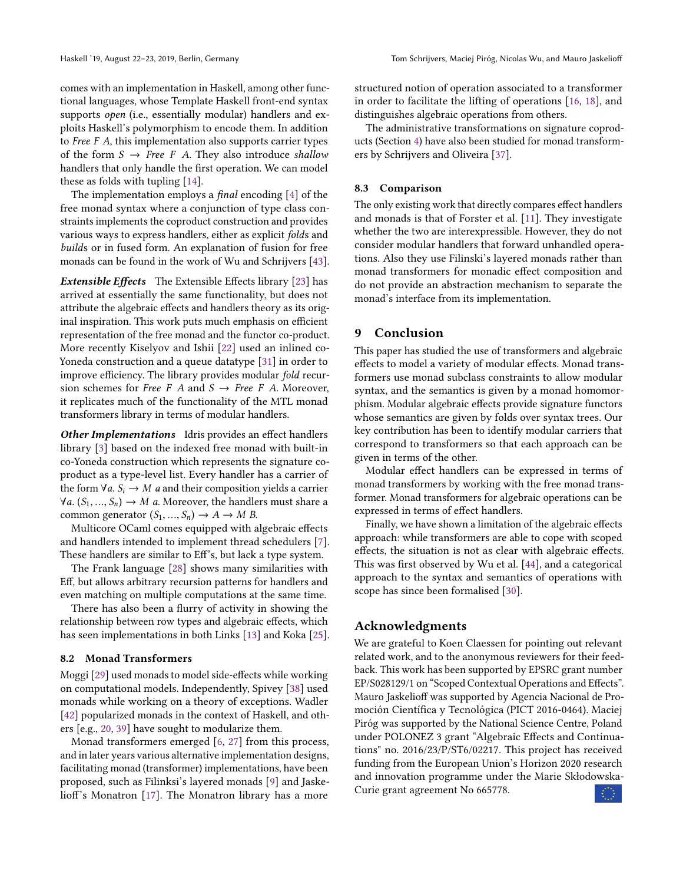comes with an implementation in Haskell, among other functional languages, whose Template Haskell front-end syntax supports open (i.e., essentially modular) handlers and exploits Haskell's polymorphism to encode them. In addition to Free F A, this implementation also supports carrier types of the form  $S \rightarrow Free \ F$  A. They also introduce shallow handlers that only handle the first operation. We can model these as folds with tupling [\[14\]](#page-14-20).

The implementation employs a final encoding [\[4\]](#page-14-21) of the free monad syntax where a conjunction of type class constraints implements the coproduct construction and provides various ways to express handlers, either as explicit folds and builds or in fused form. An explanation of fusion for free monads can be found in the work of Wu and Schrijvers [\[43\]](#page-15-8).

Extensible Effects The Extensible Effects library [\[23\]](#page-14-4) has arrived at essentially the same functionality, but does not attribute the algebraic effects and handlers theory as its original inspiration. This work puts much emphasis on efficient representation of the free monad and the functor co-product. More recently Kiselyov and Ishii [\[22\]](#page-14-22) used an inlined co-Yoneda construction and a queue datatype [\[31\]](#page-14-23) in order to improve efficiency. The library provides modular fold recursion schemes for *Free F A* and  $S \rightarrow$  *Free F A.* Moreover, it replicates much of the functionality of the MTL monad transformers library in terms of modular handlers.

Other Implementations Idris provides an effect handlers library [\[3\]](#page-14-1) based on the indexed free monad with built-in co-Yoneda construction which represents the signature coproduct as a type-level list. Every handler has a carrier of the form  $\forall a$ .  $S_i \rightarrow M$  a and their composition yields a carrier  $\forall a$ . (S<sub>1</sub>, ..., S<sub>n</sub>)  $\rightarrow$  M a. Moreover, the handlers must share a common generator  $(S_1, ..., S_n) \to A \to M B$ .

Multicore OCaml comes equipped with algebraic effects and handlers intended to implement thread schedulers [\[7\]](#page-14-2). These handlers are similar to Eff's, but lack a type system.

The Frank language [\[28\]](#page-14-24) shows many similarities with Eff, but allows arbitrary recursion patterns for handlers and even matching on multiple computations at the same time.

There has also been a flurry of activity in showing the relationship between row types and algebraic effects, which has seen implementations in both Links [\[13\]](#page-14-25) and Koka [\[25\]](#page-14-26).

### 8.2 Monad Transformers

Moggi [\[29\]](#page-14-0) used monads to model side-effects while working on computational models. Independently, Spivey [\[38\]](#page-15-9) used monads while working on a theory of exceptions. Wadler [\[42\]](#page-15-1) popularized monads in the context of Haskell, and others [e.g., [20,](#page-14-27) [39\]](#page-15-10) have sought to modularize them.

Monad transformers emerged [\[6,](#page-14-28) [27\]](#page-14-5) from this process, and in later years various alternative implementation designs, facilitating monad (transformer) implementations, have been proposed, such as Filinksi's layered monads [\[9\]](#page-14-29) and Jaskelioff's Monatron [\[17\]](#page-14-30). The Monatron library has a more

structured notion of operation associated to a transformer in order to facilitate the lifting of operations [\[16,](#page-14-7) [18\]](#page-14-8), and distinguishes algebraic operations from others.

The administrative transformations on signature coproducts (Section [4\)](#page-6-0) have also been studied for monad transformers by Schrijvers and Oliveira [\[37\]](#page-15-11).

#### 8.3 Comparison

The only existing work that directly compares effect handlers and monads is that of Forster et al. [\[11\]](#page-14-31). They investigate whether the two are interexpressible. However, they do not consider modular handlers that forward unhandled operations. Also they use Filinski's layered monads rather than monad transformers for monadic effect composition and do not provide an abstraction mechanism to separate the monad's interface from its implementation.

### <span id="page-13-0"></span>9 Conclusion

This paper has studied the use of transformers and algebraic effects to model a variety of modular effects. Monad transformers use monad subclass constraints to allow modular syntax, and the semantics is given by a monad homomorphism. Modular algebraic effects provide signature functors whose semantics are given by folds over syntax trees. Our key contribution has been to identify modular carriers that correspond to transformers so that each approach can be given in terms of the other.

Modular effect handlers can be expressed in terms of monad transformers by working with the free monad transformer. Monad transformers for algebraic operations can be expressed in terms of effect handlers.

Finally, we have shown a limitation of the algebraic effects approach: while transformers are able to cope with scoped effects, the situation is not as clear with algebraic effects. This was first observed by Wu et al. [\[44\]](#page-15-5), and a categorical approach to the syntax and semantics of operations with scope has since been formalised [\[30\]](#page-14-32).

# Acknowledgments

We are grateful to Koen Claessen for pointing out relevant related work, and to the anonymous reviewers for their feedback. This work has been supported by EPSRC grant number EP/S028129/1 on "Scoped Contextual Operations and Effects". Mauro Jaskelioff was supported by Agencia Nacional de Promoción Científica y Tecnológica (PICT 2016-0464). Maciej Piróg was supported by the National Science Centre, Poland under POLONEZ 3 grant "Algebraic Effects and Continuations" no. 2016/23/P/ST6/02217. This project has received funding from the European Union's Horizon 2020 research and innovation programme under the Marie Skłodowska-Curie grant agreement No 665778.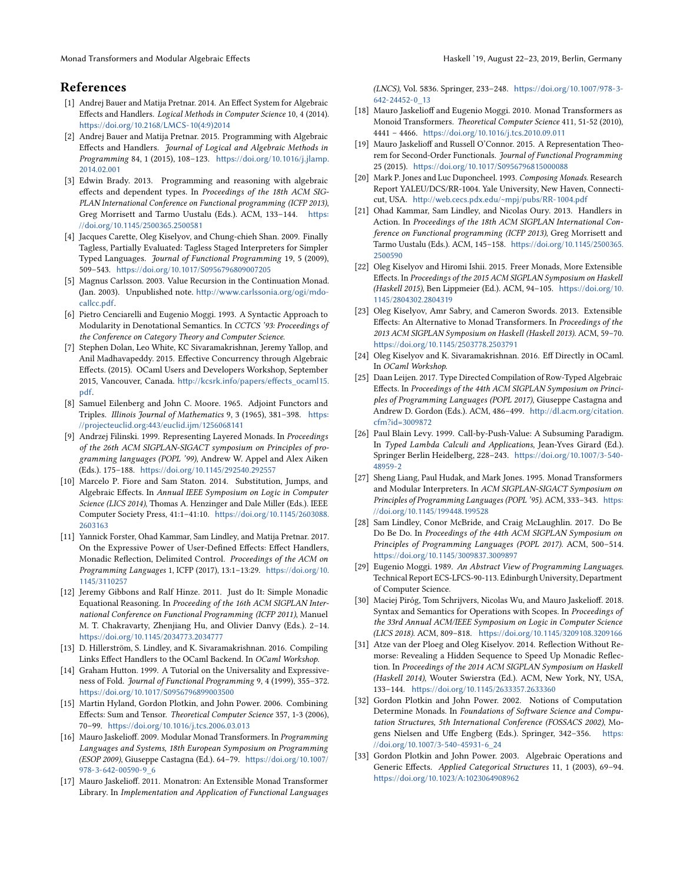Monad Transformers and Modular Algebraic Effects **Haskell '19, August 22-23, 2019, Berlin, Germany** Haskell '19, August 22-23, 2019, Berlin, Germany

# References

- <span id="page-14-19"></span>[1] Andrej Bauer and Matija Pretnar. 2014. An Effect System for Algebraic Effects and Handlers. Logical Methods in Computer Science 10, 4 (2014). [https://doi.org/10.2168/LMCS-10\(4:9\)2014](https://doi.org/10.2168/LMCS-10(4:9)2014)
- <span id="page-14-10"></span>[2] Andrej Bauer and Matija Pretnar. 2015. Programming with Algebraic Effects and Handlers. Journal of Logical and Algebraic Methods in Programming 84, 1 (2015), 108–123. [https://doi.org/10.1016/j.jlamp.](https://doi.org/10.1016/j.jlamp.2014.02.001) [2014.02.001](https://doi.org/10.1016/j.jlamp.2014.02.001)
- <span id="page-14-1"></span>[3] Edwin Brady. 2013. Programming and reasoning with algebraic effects and dependent types. In Proceedings of the 18th ACM SIG-PLAN International Conference on Functional programming (ICFP 2013), Greg Morrisett and Tarmo Uustalu (Eds.). ACM, 133–144. [https:](https://doi.org/10.1145/2500365.2500581) [//doi.org/10.1145/2500365.2500581](https://doi.org/10.1145/2500365.2500581)
- <span id="page-14-21"></span>[4] Jacques Carette, Oleg Kiselyov, and Chung-chieh Shan. 2009. Finally Tagless, Partially Evaluated: Tagless Staged Interpreters for Simpler Typed Languages. Journal of Functional Programming 19, 5 (2009), 509–543. <https://doi.org/10.1017/S0956796809007205>
- <span id="page-14-15"></span>[5] Magnus Carlsson. 2003. Value Recursion in the Continuation Monad. (Jan. 2003). Unpublished note. [http://www.carlssonia.org/ogi/mdo](http://www.carlssonia.org/ogi/mdo-callcc.pdf)[callcc.pdf](http://www.carlssonia.org/ogi/mdo-callcc.pdf).
- <span id="page-14-28"></span>[6] Pietro Cenciarelli and Eugenio Moggi. 1993. A Syntactic Approach to Modularity in Denotational Semantics. In CCTCS '93: Proceedings of the Conference on Category Theory and Computer Science.
- <span id="page-14-2"></span>[7] Stephen Dolan, Leo White, KC Sivaramakrishnan, Jeremy Yallop, and Anil Madhavapeddy. 2015. Effective Concurrency through Algebraic Effects. (2015). OCaml Users and Developers Workshop, September 2015, Vancouver, Canada. [http://kcsrk.info/papers/effects\\_ocaml15.](http://kcsrk.info/papers/effects_ocaml15.pdf) [pdf](http://kcsrk.info/papers/effects_ocaml15.pdf).
- <span id="page-14-11"></span>[8] Samuel Eilenberg and John C. Moore. 1965. Adjoint Functors and Triples. Illinois Journal of Mathematics 9, 3 (1965), 381–398. [https:](https://projecteuclid.org:443/euclid.ijm/1256068141) [//projecteuclid.org:443/euclid.ijm/1256068141](https://projecteuclid.org:443/euclid.ijm/1256068141)
- <span id="page-14-29"></span>[9] Andrzej Filinski. 1999. Representing Layered Monads. In Proceedings of the 26th ACM SIGPLAN-SIGACT symposium on Principles of programming languages (POPL '99), Andrew W. Appel and Alex Aiken (Eds.). 175–188. <https://doi.org/10.1145/292540.292557>
- <span id="page-14-14"></span>[10] Marcelo P. Fiore and Sam Staton. 2014. Substitution, Jumps, and Algebraic Effects. In Annual IEEE Symposium on Logic in Computer Science (LICS 2014), Thomas A. Henzinger and Dale Miller (Eds.). IEEE Computer Society Press, 41:1–41:10. [https://doi.org/10.1145/2603088.](https://doi.org/10.1145/2603088.2603163) [2603163](https://doi.org/10.1145/2603088.2603163)
- <span id="page-14-31"></span>[11] Yannick Forster, Ohad Kammar, Sam Lindley, and Matija Pretnar. 2017. On the Expressive Power of User-Defined Effects: Effect Handlers, Monadic Reflection, Delimited Control. Proceedings of the ACM on Programming Languages 1, ICFP (2017), 13:1–13:29. [https://doi.org/10.](https://doi.org/10.1145/3110257) [1145/3110257](https://doi.org/10.1145/3110257)
- <span id="page-14-6"></span>[12] Jeremy Gibbons and Ralf Hinze. 2011. Just do It: Simple Monadic Equational Reasoning. In Proceeding of the 16th ACM SIGPLAN International Conference on Functional Programming (ICFP 2011), Manuel M. T. Chakravarty, Zhenjiang Hu, and Olivier Danvy (Eds.). 2–14. <https://doi.org/10.1145/2034773.2034777>
- <span id="page-14-25"></span>[13] D. Hillerström, S. Lindley, and K. Sivaramakrishnan. 2016. Compiling Links Effect Handlers to the OCaml Backend. In OCaml Workshop.
- <span id="page-14-20"></span>[14] Graham Hutton. 1999. A Tutorial on the Universality and Expressiveness of Fold. Journal of Functional Programming 9, 4 (1999), 355–372. <https://doi.org/10.1017/S0956796899003500>
- <span id="page-14-13"></span>[15] Martin Hyland, Gordon Plotkin, and John Power. 2006. Combining Effects: Sum and Tensor. Theoretical Computer Science 357, 1-3 (2006), 70–99. <https://doi.org/10.1016/j.tcs.2006.03.013>
- <span id="page-14-7"></span>[16] Mauro Jaskelioff. 2009. Modular Monad Transformers. In Programming Languages and Systems, 18th European Symposium on Programming (ESOP 2009), Giuseppe Castagna (Ed.). 64–79. [https://doi.org/10.1007/](https://doi.org/10.1007/978-3-642-00590-9_6) [978-3-642-00590-9\\_6](https://doi.org/10.1007/978-3-642-00590-9_6)
- <span id="page-14-30"></span>[17] Mauro Jaskelioff. 2011. Monatron: An Extensible Monad Transformer Library. In Implementation and Application of Functional Languages

(LNCS), Vol. 5836. Springer, 233–248. [https://doi.org/10.1007/978-3-](https://doi.org/10.1007/978-3-642-24452-0_13) [642-24452-0\\_13](https://doi.org/10.1007/978-3-642-24452-0_13)

- <span id="page-14-8"></span>[18] Mauro Jaskelioff and Eugenio Moggi. 2010. Monad Transformers as Monoid Transformers. Theoretical Computer Science 411, 51-52 (2010), 4441 – 4466. <https://doi.org/10.1016/j.tcs.2010.09.011>
- <span id="page-14-12"></span>[19] Mauro Jaskelioff and Russell O'Connor. 2015. A Representation Theorem for Second-Order Functionals. Journal of Functional Programming 25 (2015). <https://doi.org/10.1017/S0956796815000088>
- <span id="page-14-27"></span>[20] Mark P. Jones and Luc Duponcheel. 1993. Composing Monads. Research Report YALEU/DCS/RR-1004. Yale University, New Haven, Connecticut, USA. <http://web.cecs.pdx.edu/~mpj/pubs/RR-1004.pdf>
- <span id="page-14-3"></span>[21] Ohad Kammar, Sam Lindley, and Nicolas Oury. 2013. Handlers in Action. In Proceedings of the 18th ACM SIGPLAN International Conference on Functional programming (ICFP 2013), Greg Morrisett and Tarmo Uustalu (Eds.). ACM, 145–158. [https://doi.org/10.1145/2500365.](https://doi.org/10.1145/2500365.2500590) [2500590](https://doi.org/10.1145/2500365.2500590)
- <span id="page-14-22"></span>[22] Oleg Kiselyov and Hiromi Ishii. 2015. Freer Monads, More Extensible Effects. In Proceedings of the 2015 ACM SIGPLAN Symposium on Haskell (Haskell 2015), Ben Lippmeier (Ed.). ACM, 94–105. [https://doi.org/10.](https://doi.org/10.1145/2804302.2804319) [1145/2804302.2804319](https://doi.org/10.1145/2804302.2804319)
- <span id="page-14-4"></span>[23] Oleg Kiselyov, Amr Sabry, and Cameron Swords. 2013. Extensible Effects: An Alternative to Monad Transformers. In Proceedings of the 2013 ACM SIGPLAN Symposium on Haskell (Haskell 2013). ACM, 59–70. <https://doi.org/10.1145/2503778.2503791>
- <span id="page-14-18"></span>[24] Oleg Kiselyov and K. Sivaramakrishnan. 2016. Eff Directly in OCaml. In OCaml Workshop.
- <span id="page-14-26"></span>[25] Daan Leijen. 2017. Type Directed Compilation of Row-Typed Algebraic Effects. In Proceedings of the 44th ACM SIGPLAN Symposium on Principles of Programming Languages (POPL 2017), Giuseppe Castagna and Andrew D. Gordon (Eds.). ACM, 486–499. [http://dl.acm.org/citation.](http://dl.acm.org/citation.cfm?id=3009872) [cfm?id=3009872](http://dl.acm.org/citation.cfm?id=3009872)
- <span id="page-14-17"></span>[26] Paul Blain Levy. 1999. Call-by-Push-Value: A Subsuming Paradigm. In Typed Lambda Calculi and Applications, Jean-Yves Girard (Ed.). Springer Berlin Heidelberg, 228–243. [https://doi.org/10.1007/3-540-](https://doi.org/10.1007/3-540-48959-2) [48959-2](https://doi.org/10.1007/3-540-48959-2)
- <span id="page-14-5"></span>[27] Sheng Liang, Paul Hudak, and Mark Jones. 1995. Monad Transformers and Modular Interpreters. In ACM SIGPLAN-SIGACT Symposium on Principles of Programming Languages (POPL '95). ACM, 333–343. [https:](https://doi.org/10.1145/199448.199528) [//doi.org/10.1145/199448.199528](https://doi.org/10.1145/199448.199528)
- <span id="page-14-24"></span>[28] Sam Lindley, Conor McBride, and Craig McLaughlin. 2017. Do Be Do Be Do. In Proceedings of the 44th ACM SIGPLAN Symposium on Principles of Programming Languages (POPL 2017). ACM, 500–514. <https://doi.org/10.1145/3009837.3009897>
- <span id="page-14-0"></span>[29] Eugenio Moggi. 1989. An Abstract View of Programming Languages. Technical Report ECS-LFCS-90-113. Edinburgh University, Department of Computer Science.
- <span id="page-14-32"></span>[30] Maciej Piróg, Tom Schrijvers, Nicolas Wu, and Mauro Jaskelioff. 2018. Syntax and Semantics for Operations with Scopes. In Proceedings of the 33rd Annual ACM/IEEE Symposium on Logic in Computer Science (LICS 2018). ACM, 809–818. <https://doi.org/10.1145/3209108.3209166>
- <span id="page-14-23"></span>[31] Atze van der Ploeg and Oleg Kiselyov. 2014. Reflection Without Remorse: Revealing a Hidden Sequence to Speed Up Monadic Reflection. In Proceedings of the 2014 ACM SIGPLAN Symposium on Haskell (Haskell 2014), Wouter Swierstra (Ed.). ACM, New York, NY, USA, 133–144. <https://doi.org/10.1145/2633357.2633360>
- <span id="page-14-16"></span>[32] Gordon Plotkin and John Power. 2002. Notions of Computation Determine Monads. In Foundations of Software Science and Computation Structures, 5th International Conference (FOSSACS 2002), Mogens Nielsen and Uffe Engberg (Eds.). Springer, 342–356. [https:](https://doi.org/10.1007/3-540-45931-6_24) [//doi.org/10.1007/3-540-45931-6\\_24](https://doi.org/10.1007/3-540-45931-6_24)
- <span id="page-14-9"></span>[33] Gordon Plotkin and John Power. 2003. Algebraic Operations and Generic Effects. Applied Categorical Structures 11, 1 (2003), 69–94. <https://doi.org/10.1023/A:1023064908962>